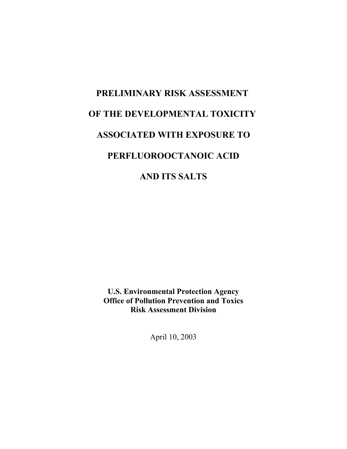# **PRELIMINARY RISK ASSESSMENT OF THE DEVELOPMENTAL TOXICITY ASSOCIATED WITH EXPOSURE TO PERFLUOROOCTANOIC ACID AND ITS SALTS**

**U.S. Environmental Protection Agency Office of Pollution Prevention and Toxics Risk Assessment Division** 

April 10, 2003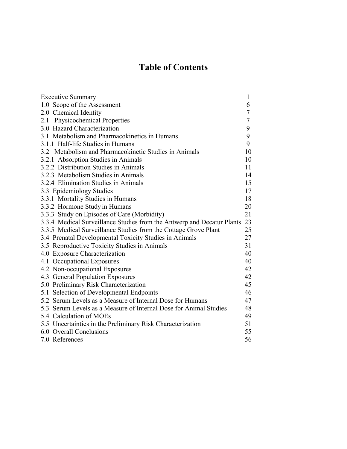# **Table of Contents**

| <b>Executive Summary</b>                                               | 1              |
|------------------------------------------------------------------------|----------------|
| 1.0 Scope of the Assessment                                            | 6              |
| 2.0 Chemical Identity                                                  | 7              |
| 2.1 Physicochemical Properties                                         | $\overline{7}$ |
| 3.0 Hazard Characterization                                            | 9              |
| 3.1 Metabolism and Pharmacokinetics in Humans                          | 9              |
| 3.1.1 Half-life Studies in Humans                                      | 9              |
| 3.2 Metabolism and Pharmacokinetic Studies in Animals                  | 10             |
| 3.2.1 Absorption Studies in Animals                                    | 10             |
| 3.2.2 Distribution Studies in Animals                                  | 11             |
| 3.2.3 Metabolism Studies in Animals                                    | 14             |
| 3.2.4 Elimination Studies in Animals                                   | 15             |
| 3.3 Epidemiology Studies                                               | 17             |
| 3.3.1 Mortality Studies in Humans                                      | 18             |
| 3.3.2 Hormone Study in Humans                                          | 20             |
| 3.3.3 Study on Episodes of Care (Morbidity)                            | 21             |
| 3.3.4 Medical Surveillance Studies from the Antwerp and Decatur Plants | 23             |
| 3.3.5 Medical Surveillance Studies from the Cottage Grove Plant        | 25             |
| 3.4 Prenatal Developmental Toxicity Studies in Animals                 | 27             |
| 3.5 Reproductive Toxicity Studies in Animals                           | 31             |
| 4.0 Exposure Characterization                                          | 40             |
| 4.1 Occupational Exposures                                             | 40             |
| 4.2 Non-occupational Exposures                                         | 42             |
| 4.3 General Population Exposures                                       | 42             |
| 5.0 Preliminary Risk Characterization                                  | 45             |
| 5.1 Selection of Developmental Endpoints                               | 46             |
| 5.2 Serum Levels as a Measure of Internal Dose for Humans              | 47             |
| 5.3 Serum Levels as a Measure of Internal Dose for Animal Studies      | 48             |
| 5.4 Calculation of MOEs                                                | 49             |
| 5.5 Uncertainties in the Preliminary Risk Characterization             | 51             |
| 6.0 Overall Conclusions                                                | 55             |
| 7.0 References                                                         | 56             |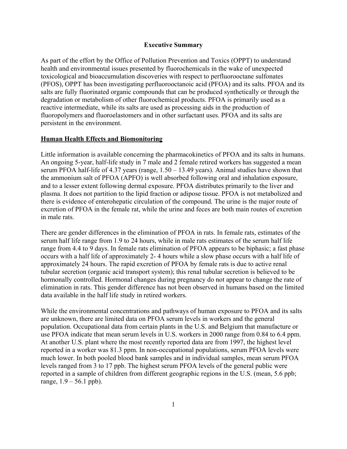# **Executive Summary**

As part of the effort by the Office of Pollution Prevention and Toxics (OPPT) to understand health and environmental issues presented by fluorochemicals in the wake of unexpected toxicological and bioaccumulation discoveries with respect to perfluorooctane sulfonates (PFOS), OPPT has been investigating perfluorooctanoic acid (PFOA) and its salts. PFOA and its salts are fully fluorinated organic compounds that can be produced synthetically or through the degradation or metabolism of other fluorochemical products. PFOA is primarily used as a reactive intermediate, while its salts are used as processing aids in the production of fluoropolymers and fluoroelastomers and in other surfactant uses. PFOA and its salts are persistent in the environment.

# **Human Health Effects and Biomonitoring**

Little information is available concerning the pharmacokinetics of PFOA and its salts in humans. An ongoing 5-year, half-life study in 7 male and 2 female retired workers has suggested a mean serum PFOA half-life of 4.37 years (range, 1.50 – 13.49 years). Animal studies have shown that the ammonium salt of PFOA (APFO) is well absorbed following oral and inhalation exposure, and to a lesser extent following dermal exposure. PFOA distributes primarily to the liver and plasma. It does not partition to the lipid fraction or adipose tissue. PFOA is not metabolized and there is evidence of enterohepatic circulation of the compound. The urine is the major route of excretion of PFOA in the female rat, while the urine and feces are both main routes of excretion in male rats.

There are gender differences in the elimination of PFOA in rats. In female rats, estimates of the serum half life range from 1.9 to 24 hours, while in male rats estimates of the serum half life range from 4.4 to 9 days. In female rats elimination of PFOA appears to be biphasic; a fast phase occurs with a half life of approximately 2- 4 hours while a slow phase occurs with a half life of approximately 24 hours. The rapid excretion of PFOA by female rats is due to active renal tubular secretion (organic acid transport system); this renal tubular secretion is believed to be hormonally controlled. Hormonal changes during pregnancy do not appear to change the rate of elimination in rats. This gender difference has not been observed in humans based on the limited data available in the half life study in retired workers.

While the environmental concentrations and pathways of human exposure to PFOA and its salts are unknown, there are limited data on PFOA serum levels in workers and the general population. Occupational data from certain plants in the U.S. and Belgium that manufacture or use PFOA indicate that mean serum levels in U.S. workers in 2000 range from 0.84 to 6.4 ppm. At another U.S. plant where the most recently reported data are from 1997, the highest level reported in a worker was 81.3 ppm. In non-occupational populations, serum PFOA levels were much lower. In both pooled blood bank samples and in individual samples, mean serum PFOA levels ranged from 3 to 17 ppb. The highest serum PFOA levels of the general public were reported in a sample of children from different geographic regions in the U.S. (mean, 5.6 ppb; range,  $1.9 - 56.1$  ppb).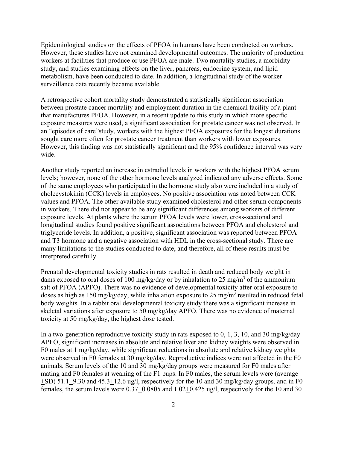Epidemiological studies on the effects of PFOA in humans have been conducted on workers. However, these studies have not examined developmental outcomes. The majority of production workers at facilities that produce or use PFOA are male. Two mortality studies, a morbidity study, and studies examining effects on the liver, pancreas, endocrine system, and lipid metabolism, have been conducted to date. In addition, a longitudinal study of the worker surveillance data recently became available.

A retrospective cohort mortality study demonstrated a statistically significant association between prostate cancer mortality and employment duration in the chemical facility of a plant that manufactures PFOA. However, in a recent update to this study in which more specific exposure measures were used, a significant association for prostate cancer was not observed. In an "episodes of care"study, workers with the highest PFOA exposures for the longest durations sought care more often for prostate cancer treatment than workers with lower exposures. However, this finding was not statistically significant and the 95% confidence interval was very wide.

Another study reported an increase in estradiol levels in workers with the highest PFOA serum levels; however, none of the other hormone levels analyzed indicated any adverse effects. Some of the same employees who participated in the hormone study also were included in a study of cholecystokinin (CCK) levels in employees. No positive association was noted between CCK values and PFOA. The other available study examined cholesterol and other serum components in workers. There did not appear to be any significant differences among workers of different exposure levels. At plants where the serum PFOA levels were lower, cross-sectional and longitudinal studies found positive significant associations between PFOA and cholesterol and triglyceride levels. In addition, a positive, significant association was reported between PFOA and T3 hormone and a negative association with HDL in the cross-sectional study. There are many limitations to the studies conducted to date, and therefore, all of these results must be interpreted carefully.

Prenatal developmental toxicity studies in rats resulted in death and reduced body weight in dams exposed to oral doses of 100 mg/kg/day or by inhalation to 25 mg/m<sup>3</sup> of the ammonium salt of PFOA (APFO). There was no evidence of developmental toxicity after oral exposure to doses as high as 150 mg/kg/day, while inhalation exposure to 25 mg/m<sup>3</sup> resulted in reduced fetal body weights. In a rabbit oral developmental toxicity study there was a significant increase in skeletal variations after exposure to 50 mg/kg/day APFO. There was no evidence of maternal toxicity at 50 mg/kg/day, the highest dose tested.

In a two-generation reproductive toxicity study in rats exposed to 0, 1, 3, 10, and 30 mg/kg/day APFO, significant increases in absolute and relative liver and kidney weights were observed in F0 males at 1 mg/kg/day, while significant reductions in absolute and relative kidney weights were observed in F0 females at 30 mg/kg/day. Reproductive indices were not affected in the F0 animals. Serum levels of the 10 and 30 mg/kg/day groups were measured for F0 males after mating and F0 females at weaning of the F1 pups. In F0 males, the serum levels were (average +SD) 51.1+9.30 and 45.3+12.6 ug/l, respectively for the 10 and 30 mg/kg/day groups, and in F0 females, the serum levels were 0.37+0.0805 and 1.02+0.425 ug/l, respectively for the 10 and 30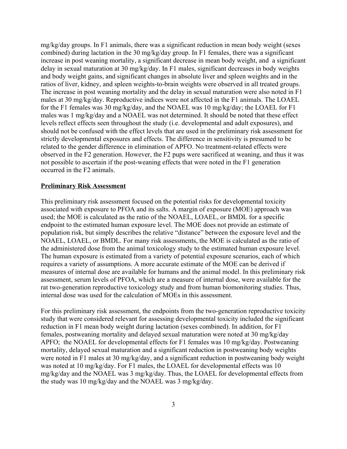mg/kg/day groups. In F1 animals, there was a significant reduction in mean body weight (sexes combined) during lactation in the 30 mg/kg/day group. In F1 females, there was a significant increase in post weaning mortality, a significant decrease in mean body weight, and a significant delay in sexual maturation at 30 mg/kg/day. In F1 males, significant decreases in body weights and body weight gains, and significant changes in absolute liver and spleen weights and in the ratios of liver, kidney, and spleen weights-to-brain weights were observed in all treated groups. The increase in post weaning mortality and the delay in sexual maturation were also noted in F1 males at 30 mg/kg/day. Reproductive indices were not affected in the F1 animals. The LOAEL for the F1 females was 30 mg/kg/day, and the NOAEL was 10 mg/kg/day; the LOAEL for F1 males was 1 mg/kg/day and a NOAEL was not determined. It should be noted that these effect levels reflect effects seen throughout the study (i.e. developmental and adult exposures), and should not be confused with the effect levels that are used in the preliminary risk assessment for strictly developmental exposures and effects. The difference in sensitivity is presumed to be related to the gender difference in elimination of APFO. No treatment-related effects were observed in the F2 generation. However, the F2 pups were sacrificed at weaning, and thus it was not possible to ascertain if the post-weaning effects that were noted in the F1 generation occurred in the F2 animals.

#### **Preliminary Risk Assessment**

This preliminary risk assessment focused on the potential risks for developmental toxicity associated with exposure to PFOA and its salts. A margin of exposure (MOE) approach was used; the MOE is calculated as the ratio of the NOAEL, LOAEL, or BMDL for a specific endpoint to the estimated human exposure level. The MOE does not provide an estimate of population risk, but simply describes the relative "distance" between the exposure level and the NOAEL, LOAEL, or BMDL. For many risk assessments, the MOE is calculated as the ratio of the administered dose from the animal toxicology study to the estimated human exposure level. The human exposure is estimated from a variety of potential exposure scenarios, each of which requires a variety of assumptions. A more accurate estimate of the MOE can be derived if measures of internal dose are available for humans and the animal model. In this preliminary risk assessment, serum levels of PFOA, which are a measure of internal dose, were available for the rat two-generation reproductive toxicology study and from human biomonitoring studies. Thus, internal dose was used for the calculation of MOEs in this assessment.

For this preliminary risk assessment, the endpoints from the two-generation reproductive toxicity study that were considered relevant for assessing developmental toxicity included the significant reduction in F1 mean body weight during lactation (sexes combined). In addition, for F1 females, postweaning mortality and delayed sexual maturation were noted at 30 mg/kg/day APFO; the NOAEL for developmental effects for F1 females was 10 mg/kg/day. Postweaning mortality, delayed sexual maturation and a significant reduction in postweaning body weights were noted in F1 males at 30 mg/kg/day, and a significant reduction in postweaning body weight was noted at 10 mg/kg/day. For F1 males, the LOAEL for developmental effects was 10 mg/kg/day and the NOAEL was 3 mg/kg/day. Thus, the LOAEL for developmental effects from the study was 10 mg/kg/day and the NOAEL was 3 mg/kg/day.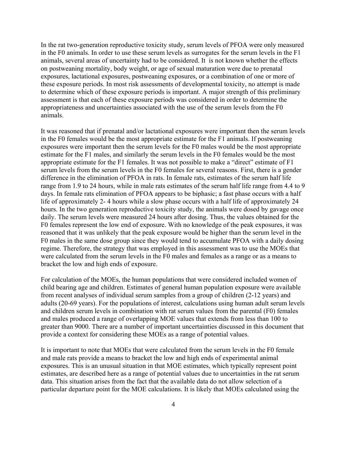In the rat two-generation reproductive toxicity study, serum levels of PFOA were only measured in the F0 animals. In order to use these serum levels as surrogates for the serum levels in the F1 animals, several areas of uncertainty had to be considered. It is not known whether the effects on postweaning mortality, body weight, or age of sexual maturation were due to prenatal exposures, lactational exposures, postweaning exposures, or a combination of one or more of these exposure periods. In most risk assessments of developmental toxicity, no attempt is made to determine which of these exposure periods is important. A major strength of this preliminary assessment is that each of these exposure periods was considered in order to determine the appropriateness and uncertainties associated with the use of the serum levels from the F0 animals.

It was reasoned that if prenatal and/or lactational exposures were important then the serum levels in the F0 females would be the most appropriate estimate for the F1 animals. If postweaning exposures were important then the serum levels for the F0 males would be the most appropriate estimate for the F1 males, and similarly the serum levels in the F0 females would be the most appropriate estimate for the F1 females. It was not possible to make a "direct" estimate of F1 serum levels from the serum levels in the F0 females for several reasons. First, there is a gender difference in the elimination of PFOA in rats. In female rats, estimates of the serum half life range from 1.9 to 24 hours, while in male rats estimates of the serum half life range from 4.4 to 9 days. In female rats elimination of PFOA appears to be biphasic; a fast phase occurs with a half life of approximately 2- 4 hours while a slow phase occurs with a half life of approximately 24 hours. In the two generation reproductive toxicity study, the animals were dosed by gavage once daily. The serum levels were measured 24 hours after dosing. Thus, the values obtained for the F0 females represent the low end of exposure. With no knowledge of the peak exposures, it was reasoned that it was unlikely that the peak exposure would be higher than the serum level in the F0 males in the same dose group since they would tend to accumulate PFOA with a daily dosing regime. Therefore, the strategy that was employed in this assessment was to use the MOEs that were calculated from the serum levels in the F0 males and females as a range or as a means to bracket the low and high ends of exposure.

For calculation of the MOEs, the human populations that were considered included women of child bearing age and children. Estimates of general human population exposure were available from recent analyses of individual serum samples from a group of children (2-12 years) and adults (20-69 years). For the populations of interest, calculations using human adult serum levels and children serum levels in combination with rat serum values from the parental (F0) females and males produced a range of overlapping MOE values that extends from less than 100 to greater than 9000. There are a number of important uncertainties discussed in this document that provide a context for considering these MOEs as a range of potential values.

It is important to note that MOEs that were calculated from the serum levels in the F0 female and male rats provide a means to bracket the low and high ends of experimental animal exposures. This is an unusual situation in that MOE estimates, which typically represent point estimates, are described here as a range of potential values due to uncertainties in the rat serum data. This situation arises from the fact that the available data do not allow selection of a particular departure point for the MOE calculations. It is likely that MOEs calculated using the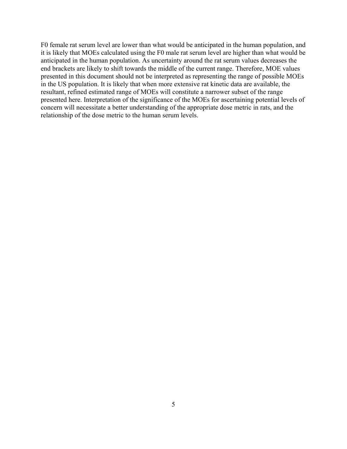F0 female rat serum level are lower than what would be anticipated in the human population, and it is likely that MOEs calculated using the F0 male rat serum level are higher than what would be anticipated in the human population. As uncertainty around the rat serum values decreases the end brackets are likely to shift towards the middle of the current range. Therefore, MOE values presented in this document should not be interpreted as representing the range of possible MOEs in the US population. It is likely that when more extensive rat kinetic data are available, the resultant, refined estimated range of MOEs will constitute a narrower subset of the range presented here. Interpretation of the significance of the MOEs for ascertaining potential levels of concern will necessitate a better understanding of the appropriate dose metric in rats, and the relationship of the dose metric to the human serum levels.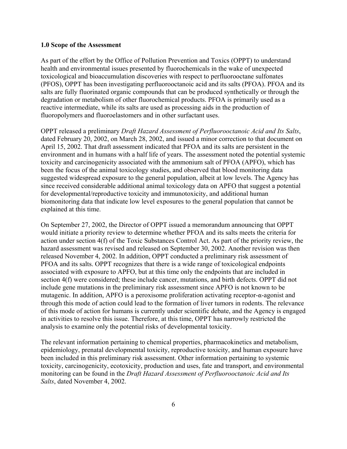#### **1.0 Scope of the Assessment**

As part of the effort by the Office of Pollution Prevention and Toxics (OPPT) to understand health and environmental issues presented by fluorochemicals in the wake of unexpected toxicological and bioaccumulation discoveries with respect to perfluorooctane sulfonates (PFOS), OPPT has been investigating perfluorooctanoic acid and its salts (PFOA). PFOA and its salts are fully fluorinated organic compounds that can be produced synthetically or through the degradation or metabolism of other fluorochemical products. PFOA is primarily used as a reactive intermediate, while its salts are used as processing aids in the production of fluoropolymers and fluoroelastomers and in other surfactant uses.

OPPT released a preliminary *Draft Hazard Assessment of Perfluorooctanoic Acid and Its Salts*, dated February 20, 2002, on March 28, 2002, and issued a minor correction to that document on April 15, 2002. That draft assessment indicated that PFOA and its salts are persistent in the environment and in humans with a half life of years. The assessment noted the potential systemic toxicity and carcinogenicity associated with the ammonium salt of PFOA (APFO), which has been the focus of the animal toxicology studies, and observed that blood monitoring data suggested widespread exposure to the general population, albeit at low levels. The Agency has since received considerable additional animal toxicology data on APFO that suggest a potential for developmental/reproductive toxicity and immunotoxicity, and additional human biomonitoring data that indicate low level exposures to the general population that cannot be explained at this time.

On September 27, 2002, the Director of OPPT issued a memorandum announcing that OPPT would initiate a priority review to determine whether PFOA and its salts meets the criteria for action under section 4(f) of the Toxic Substances Control Act. As part of the priority review, the hazard assessment was revised and released on September 30, 2002. Another revision was then released November 4, 2002. In addition, OPPT conducted a preliminary risk assessment of PFOA and its salts. OPPT recognizes that there is a wide range of toxicological endpoints associated with exposure to APFO, but at this time only the endpoints that are included in section 4(f) were considered; these include cancer, mutations, and birth defects. OPPT did not include gene mutations in the preliminary risk assessment since APFO is not known to be mutagenic. In addition, APFO is a peroxisome proliferation activating receptor- $\alpha$ -agonist and through this mode of action could lead to the formation of liver tumors in rodents. The relevance of this mode of action for humans is currently under scientific debate, and the Agency is engaged in activities to resolve this issue. Therefore, at this time, OPPT has narrowly restricted the analysis to examine only the potential risks of developmental toxicity.

The relevant information pertaining to chemical properties, pharmacokinetics and metabolism, epidemiology, prenatal developmental toxicity, reproductive toxicity, and human exposure have been included in this preliminary risk assessment. Other information pertaining to systemic toxicity, carcinogenicity, ecotoxicity, production and uses, fate and transport, and environmental monitoring can be found in the *Draft Hazard Assessment of Perfluorooctanoic Acid and Its Salts*, dated November 4, 2002.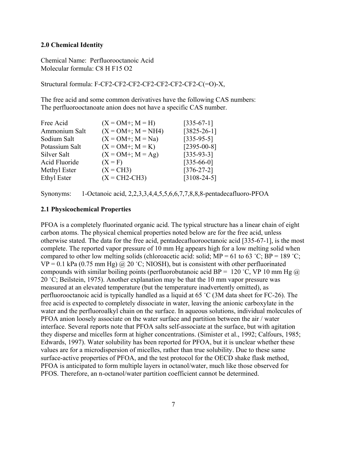# **2.0 Chemical Identity**

Chemical Name: Perfluorooctanoic Acid Molecular formula: C8 H F15 O2

Structural formula: F-CF2-CF2-CF2-CF2-CF2-CF2-CF2-C(=O)-X,

The free acid and some common derivatives have the following CAS numbers: The perfluorooctanoate anion does not have a specific CAS number.

| Free Acid      | $(X = OM^{+}; M = H)$  | $[335-67-1]$      |
|----------------|------------------------|-------------------|
| Ammonium Salt  | $(X = OM +; M = NH4)$  | $[3825 - 26 - 1]$ |
| Sodium Salt    | $(X = OM^{+}; M = Na)$ | $[335-95-5]$      |
| Potassium Salt | $(X = OM^{+}; M = K)$  | $[2395 - 00 - 8]$ |
| Silver Salt    | $(X = OM^{+}; M = Ag)$ | $[335-93-3]$      |
| Acid Fluoride  | $(X = F)$              | $[335-66-0]$      |
| Methyl Ester   | $(X = CH3)$            | $[376-27-2]$      |
| Ethyl Ester    | $(X = CH2-CH3)$        | $[3108 - 24 - 5]$ |

Synonyms: 1-Octanoic acid, 2,2,3,3,4,4,5,5,6,6,7,7,8,8,8-pentadecafluoro-PFOA

# **2.1 Physicochemical Properties**

PFOA is a completely fluorinated organic acid. The typical structure has a linear chain of eight carbon atoms. The physical chemical properties noted below are for the free acid, unless otherwise stated. The data for the free acid, pentadecafluorooctanoic acid [335-67-1], is the most complete. The reported vapor pressure of 10 mm Hg appears high for a low melting solid when compared to other low melting solids (chloroacetic acid: solid;  $MP = 61$  to 63 °C;  $BP = 189$  °C;  $VP = 0.1$  kPa (0.75 mm Hg) @ 20 °C; NIOSH), but is consistent with other perfluorinated compounds with similar boiling points (perfluorobutanoic acid BP = 120 °C, VP 10 mm Hg  $\omega$ ) 20 °C; Beilstein, 1975). Another explanation may be that the 10 mm vapor pressure was measured at an elevated temperature (but the temperature inadvertently omitted), as perfluorooctanoic acid is typically handled as a liquid at  $65 \degree C$  (3M data sheet for FC-26). The free acid is expected to completely dissociate in water, leaving the anionic carboxylate in the water and the perfluoroalkyl chain on the surface. In aqueous solutions, individual molecules of PFOA anion loosely associate on the water surface and partition between the air / water interface. Several reports note that PFOA salts self-associate at the surface, but with agitation they disperse and micelles form at higher concentrations. (Simister et al., 1992; Calfours, 1985; Edwards, 1997). Water solubility has been reported for PFOA, but it is unclear whether these values are for a microdispersion of micelles, rather than true solubility. Due to these same surface-active properties of PFOA, and the test protocol for the OECD shake flask method, PFOA is anticipated to form multiple layers in octanol/water, much like those observed for PFOS. Therefore, an n-octanol/water partition coefficient cannot be determined.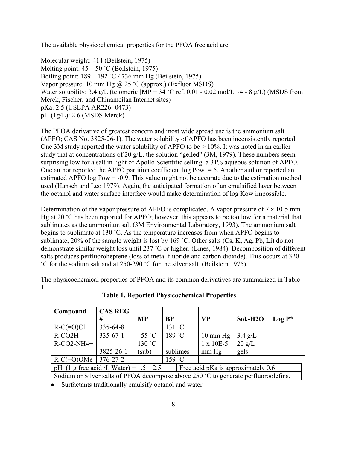The available physicochemical properties for the PFOA free acid are:

Molecular weight: 414 (Beilstein, 1975) Melting point:  $45 - 50$  °C (Beilstein, 1975) Boiling point:  $189 - 192$  °C / 736 mm Hg (Beilstein, 1975) Vapor pressure: 10 mm Hg  $\omega$  25 °C (approx.) (Exfluor MSDS) Water solubility: 3.4 g/L (telomeric  $[MP = 34 °C$  ref. 0.01 - 0.02 mol/L ~4 - 8 g/L) (MSDS from Merck, Fischer, and Chinameilan Internet sites) pKa: 2.5 (USEPA AR226- 0473) pH (1g/L): 2.6 (MSDS Merck)

The PFOA derivative of greatest concern and most wide spread use is the ammonium salt (APFO; CAS No. 3825-26-1). The water solubility of APFO has been inconsistently reported. One 3M study reported the water solubility of APFO to be > 10%. It was noted in an earlier study that at concentrations of 20 g/L, the solution "gelled" (3M, 1979). These numbers seem surprising low for a salt in light of Apollo Scientific selling a 31% aqueous solution of APFO. One author reported the APFO partition coefficient  $log Pow = 5$ . Another author reported an estimated APFO log Pow = -0.9. This value might not be accurate due to the estimation method used (Hansch and Leo 1979). Again, the anticipated formation of an emulsified layer between the octanol and water surface interface would make determination of log Kow impossible.

Determination of the vapor pressure of APFO is complicated. A vapor pressure of 7 x 10-5 mm Hg at 20  $^{\circ}$ C has been reported for APFO; however, this appears to be too low for a material that sublimates as the ammonium salt (3M Environmental Laboratory, 1993). The ammonium salt begins to sublimate at 130  $\degree$ C. As the temperature increases from when APFO begins to sublimate, 20% of the sample weight is lost by 169 °C. Other salts  $(Cs, K, Ag, Pb, Li)$  do not demonstrate similar weight loss until 237 °C or higher. (Lines, 1984). Decomposition of different salts produces perfluoroheptene (loss of metal fluoride and carbon dioxide). This occurs at 320 <sup>°</sup>C for the sodium salt and at 250-290 <sup>°</sup>C for the silver salt (Beilstein 1975).

The physicochemical properties of PFOA and its common derivatives are summarized in Table 1.

| Compound                                                                            | <b>CAS REG</b> |           |           |          |                    |                       |          |
|-------------------------------------------------------------------------------------|----------------|-----------|-----------|----------|--------------------|-----------------------|----------|
|                                                                                     | #              | <b>MP</b> | <b>BP</b> |          | <b>VP</b>          | Sol.-H <sub>2</sub> O | $Log P*$ |
| $R-C(=O)Cl$                                                                         | $335 - 64 - 8$ |           | 131 °C    |          |                    |                       |          |
| R-CO2H                                                                              | $335 - 67 - 1$ | 55 °C     | 189 °C    |          | $10 \text{ mm Hg}$ | $3.4 \text{ g/L}$     |          |
| $R-CO2-NH4+$                                                                        |                | 130 °C    |           |          | $1 \times 10E-5$   | $20 \text{ g/L}$      |          |
|                                                                                     | 3825-26-1      | (sub)     |           | sublimes | $mm$ Hg            | gels                  |          |
| $R-C (=O)$ OMe   376-27-2                                                           |                |           | 159 °C    |          |                    |                       |          |
| pH (1 g free acid /L Water) = $1.5 - 2.5$<br>Free acid pKa is approximately 0.6     |                |           |           |          |                    |                       |          |
| Sodium or Silver salts of PFOA decompose above 250 °C to generate perfluoroolefins. |                |           |           |          |                    |                       |          |

**Table 1. Reported Physicochemical Properties** 

• Surfactants traditionally emulsify octanol and water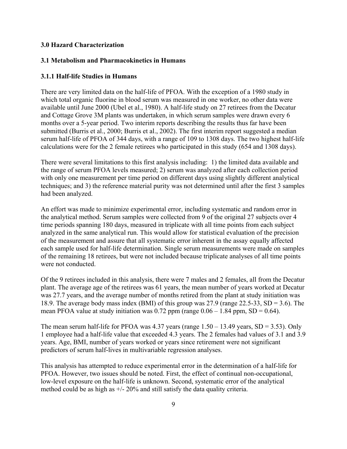# **3.0 Hazard Characterization**

# **3.1 Metabolism and Pharmacokinetics in Humans**

# **3.1.1 Half-life Studies in Humans**

There are very limited data on the half-life of PFOA. With the exception of a 1980 study in which total organic fluorine in blood serum was measured in one worker, no other data were available until June 2000 (Ubel et al., 1980). A half-life study on 27 retirees from the Decatur and Cottage Grove 3M plants was undertaken, in which serum samples were drawn every 6 months over a 5-year period. Two interim reports describing the results thus far have been submitted (Burris et al., 2000; Burris et al., 2002). The first interim report suggested a median serum half-life of PFOA of 344 days, with a range of 109 to 1308 days. The two highest half-life calculations were for the 2 female retirees who participated in this study (654 and 1308 days).

There were several limitations to this first analysis including: 1) the limited data available and the range of serum PFOA levels measured; 2) serum was analyzed after each collection period with only one measurement per time period on different days using slightly different analytical techniques; and 3) the reference material purity was not determined until after the first 3 samples had been analyzed.

An effort was made to minimize experimental error, including systematic and random error in the analytical method. Serum samples were collected from 9 of the original 27 subjects over 4 time periods spanning 180 days, measured in triplicate with all time points from each subject analyzed in the same analytical run. This would allow for statistical evaluation of the precision of the measurement and assure that all systematic error inherent in the assay equally affected each sample used for half-life determination. Single serum measurements were made on samples of the remaining 18 retirees, but were not included because triplicate analyses of all time points were not conducted.

Of the 9 retirees included in this analysis, there were 7 males and 2 females, all from the Decatur plant. The average age of the retirees was 61 years, the mean number of years worked at Decatur was 27.7 years, and the average number of months retired from the plant at study initiation was 18.9. The average body mass index (BMI) of this group was 27.9 (range 22.5-33, SD = 3.6). The mean PFOA value at study initiation was  $0.72$  ppm (range  $0.06 - 1.84$  ppm, SD = 0.64).

The mean serum half-life for PFOA was  $4.37$  years (range  $1.50 - 13.49$  years, SD = 3.53). Only 1 employee had a half-life value that exceeded 4.3 years. The 2 females had values of 3.1 and 3.9 years. Age, BMI, number of years worked or years since retirement were not significant predictors of serum half-lives in multivariable regression analyses.

This analysis has attempted to reduce experimental error in the determination of a half-life for PFOA. However, two issues should be noted. First, the effect of continual non-occupational, low-level exposure on the half-life is unknown. Second, systematic error of the analytical method could be as high as  $+/- 20\%$  and still satisfy the data quality criteria.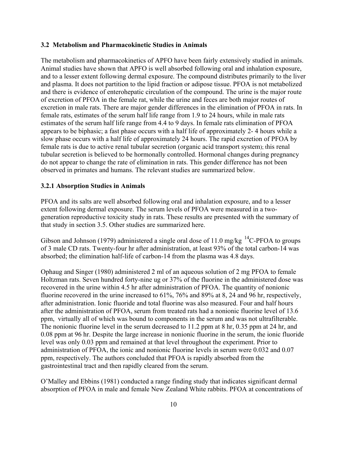#### **3.2 Metabolism and Pharmacokinetic Studies in Animals**

The metabolism and pharmacokinetics of APFO have been fairly extensively studied in animals. Animal studies have shown that APFO is well absorbed following oral and inhalation exposure, and to a lesser extent following dermal exposure. The compound distributes primarily to the liver and plasma. It does not partition to the lipid fraction or adipose tissue. PFOA is not metabolized and there is evidence of enterohepatic circulation of the compound. The urine is the major route of excretion of PFOA in the female rat, while the urine and feces are both major routes of excretion in male rats. There are major gender differences in the elimination of PFOA in rats. In female rats, estimates of the serum half life range from 1.9 to 24 hours, while in male rats estimates of the serum half life range from 4.4 to 9 days. In female rats elimination of PFOA appears to be biphasic; a fast phase occurs with a half life of approximately 2- 4 hours while a slow phase occurs with a half life of approximately 24 hours. The rapid excretion of PFOA by female rats is due to active renal tubular secretion (organic acid transport system); this renal tubular secretion is believed to be hormonally controlled. Hormonal changes during pregnancy do not appear to change the rate of elimination in rats. This gender difference has not been observed in primates and humans. The relevant studies are summarized below.

#### **3.2.1 Absorption Studies in Animals**

PFOA and its salts are well absorbed following oral and inhalation exposure, and to a lesser extent following dermal exposure. The serum levels of PFOA were measured in a twogeneration reproductive toxicity study in rats. These results are presented with the summary of that study in section 3.5. Other studies are summarized here.

Gibson and Johnson (1979) administered a single oral dose of 11.0 mg/kg  $^{14}$ C-PFOA to groups of 3 male CD rats. Twenty-four hr after administration, at least 93% of the total carbon-14 was absorbed; the elimination half-life of carbon-14 from the plasma was 4.8 days.

Ophaug and Singer (1980) administered 2 ml of an aqueous solution of 2 mg PFOA to female Holtzman rats. Seven hundred forty-nine ug or 37% of the fluorine in the administered dose was recovered in the urine within 4.5 hr after administration of PFOA. The quantity of nonionic fluorine recovered in the urine increased to 61%, 76% and 89% at 8, 24 and 96 hr, respectively, after administration. Ionic fluoride and total fluorine was also measured. Four and half hours after the administration of PFOA, serum from treated rats had a nonionic fluorine level of 13.6 ppm, virtually all of which was bound to components in the serum and was not ultrafilterable. The nonionic fluorine level in the serum decreased to 11.2 ppm at 8 hr, 0.35 ppm at 24 hr, and 0.08 ppm at 96 hr. Despite the large increase in nonionic fluorine in the serum, the ionic fluoride level was only 0.03 ppm and remained at that level throughout the experiment. Prior to administration of PFOA, the ionic and nonionic fluorine levels in serum were 0.032 and 0.07 ppm, respectively. The authors concluded that PFOA is rapidly absorbed from the gastrointestinal tract and then rapidly cleared from the serum.

O'Malley and Ebbins (1981) conducted a range finding study that indicates significant dermal absorption of PFOA in male and female New Zealand White rabbits. PFOA at concentrations of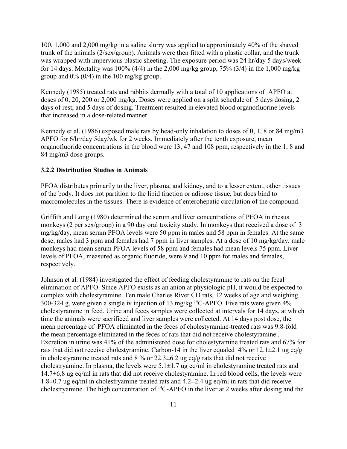100, 1,000 and 2,000 mg/kg in a saline slurry was applied to approximately 40% of the shaved trunk of the animals (2/sex/group). Animals were then fitted with a plastic collar, and the trunk was wrapped with impervious plastic sheeting. The exposure period was 24 hr/day 5 days/week for 14 days. Mortality was  $100\%$  (4/4) in the 2,000 mg/kg group, 75% (3/4) in the 1,000 mg/kg group and  $0\%$  (0/4) in the 100 mg/kg group.

Kennedy (1985) treated rats and rabbits dermally with a total of 10 applications of APFO at doses of 0, 20, 200 or 2,000 mg/kg. Doses were applied on a split schedule of 5 days dosing, 2 days of rest, and 5 days of dosing. Treatment resulted in elevated blood organofluorine levels that increased in a dose-related manner.

Kennedy et al. (1986) exposed male rats by head-only inhalation to doses of 0, 1, 8 or 84 mg/m3 APFO for 6/hr/day 5day/wk for 2 weeks. Immediately after the tenth exposure, mean organofluoride concentrations in the blood were 13, 47 and 108 ppm, respectively in the 1, 8 and 84 mg/m3 dose groups.

# **3.2.2 Distribution Studies in Animals**

PFOA distributes primarily to the liver, plasma, and kidney, and to a lesser extent, other tissues of the body. It does not partition to the lipid fraction or adipose tissue, but does bind to macromolecules in the tissues. There is evidence of enterohepatic circulation of the compound.

Griffith and Long (1980) determined the serum and liver concentrations of PFOA in rhesus monkeys (2 per sex/group) in a 90 day oral toxicity study. In monkeys that received a dose of 3 mg/kg/day, mean serum PFOA levels were 50 ppm in males and 58 ppm in females. At the same dose, males had 3 ppm and females had 7 ppm in liver samples. At a dose of 10 mg/kg/day, male monkeys had mean serum PFOA levels of 58 ppm and females had mean levels 75 ppm. Liver levels of PFOA, measured as organic fluoride, were 9 and 10 ppm for males and females, respectively.

Johnson et al. (1984) investigated the effect of feeding cholestyramine to rats on the fecal elimination of APFO. Since APFO exists as an anion at physiologic pH, it would be expected to complex with cholestyramine. Ten male Charles River CD rats, 12 weeks of age and weighing 300-324 g, were given a single iv injection of 13 mg/kg 14C-APFO. Five rats were given 4% cholestyramine in feed. Urine and feces samples were collected at intervals for 14 days, at which time the animals were sacrificed and liver samples were collected. At 14 days post dose, the mean percentage of PFOA eliminated in the feces of cholestyramine-treated rats was 9.8-fold the mean percentage eliminated in the feces of rats that did not receive cholestyramine.. Excretion in urine was 41% of the administered dose for cholestyramine treated rats and 67% for rats that did not receive cholestyramine. Carbon-14 in the liver equaled 4% or 12.1 $\pm$ 2.1 ug eq/g in cholestyramine treated rats and  $8\%$  or  $22.3\pm6.2$  ug eq/g rats that did not receive cholestryamine. In plasma, the levels were  $5.1 \pm 1.7$  ug eq/ml in cholestyramine treated rats and 14.7±6.8 ug eq/ml in rats that did not receive cholestyramine. In red blood cells, the levels were 1.8 $\pm$ 0.7 ug eq/ml in cholestryamine treated rats and 4.2 $\pm$ 2.4 ug eq/ml in rats that did receive cholestryamine. The high concentration of 14C-APFO in the liver at 2 weeks after dosing and the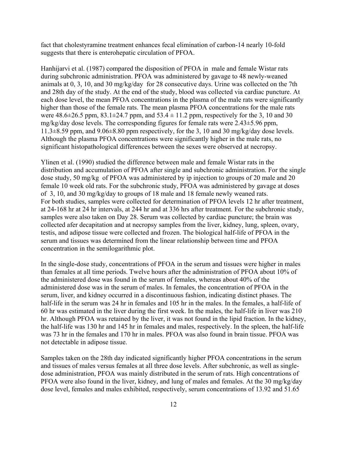fact that cholestyramine treatment enhances fecal elimination of carbon-14 nearly 10-fold suggests that there is enterohepatic circulation of PFOA.

Hanhijarvi et al. (1987) compared the disposition of PFOA in male and female Wistar rats during subchronic administration. PFOA was administered by gavage to 48 newly-weaned animals at 0, 3, 10, and 30 mg/kg/day for 28 consecutive days. Urine was collected on the 7th and 28th day of the study. At the end of the study, blood was collected via cardiac puncture. At each dose level, the mean PFOA concentrations in the plasma of the male rats were significantly higher than those of the female rats. The mean plasma PFOA concentrations for the male rats were  $48.6 \pm 26.5$  ppm,  $83.1 \pm 24.7$  ppm, and  $53.4 \pm 11.2$  ppm, respectively for the 3, 10 and 30 mg/kg/day dose levels. The corresponding figures for female rats were 2.43±5.96 ppm, 11.3±8.59 ppm, and 9.06±8.80 ppm respectively, for the 3, 10 and 30 mg/kg/day dose levels. Although the plasma PFOA concentrations were significantly higher in the male rats, no significant histopathological differences between the sexes were observed at necropsy.

Ylinen et al. (1990) studied the difference between male and female Wistar rats in the distribution and accumulation of PFOA after single and subchronic administration. For the single dose study, 50 mg/kg of PFOA was administered by ip injection to groups of 20 male and 20 female 10 week old rats. For the subchronic study, PFOA was administered by gavage at doses of 3, 10, and 30 mg/kg/day to groups of 18 male and 18 female newly weaned rats. For both studies, samples were collected for determination of PFOA levels 12 hr after treatment, at 24-168 hr at 24 hr intervals, at 244 hr and at 336 hrs after treatment. For the subchronic study, samples were also taken on Day 28. Serum was collected by cardiac puncture; the brain was collected afer decapitation and at necropsy samples from the liver, kidney, lung, spleen, ovary, testis, and adipose tissue were collected and frozen. The biological half-life of PFOA in the serum and tissues was determined from the linear relationship between time and PFOA concentration in the semilogarithmic plot.

In the single-dose study, concentrations of PFOA in the serum and tissues were higher in males than females at all time periods. Twelve hours after the administration of PFOA about 10% of the administered dose was found in the serum of females, whereas about 40% of the administered dose was in the serum of males. In females, the concentration of PFOA in the serum, liver, and kidney occurred in a discontinuous fashion, indicating distinct phases. The half-life in the serum was 24 hr in females and 105 hr in the males. In the females, a half-life of 60 hr was estimated in the liver during the first week. In the males, the half-life in liver was 210 hr. Although PFOA was retained by the liver, it was not found in the lipid fraction. In the kidney, the half-life was 130 hr and 145 hr in females and males, respectively. In the spleen, the half-life was 73 hr in the females and 170 hr in males. PFOA was also found in brain tissue. PFOA was not detectable in adipose tissue.

Samples taken on the 28th day indicated significantly higher PFOA concentrations in the serum and tissues of males versus females at all three dose levels. After subchronic, as well as singledose administration, PFOA was mainly distributed in the serum of rats. High concentrations of PFOA were also found in the liver, kidney, and lung of males and females. At the 30 mg/kg/day dose level, females and males exhibited, respectively, serum concentrations of 13.92 and 51.65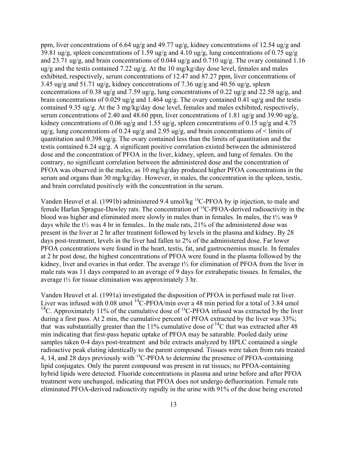ppm, liver concentrations of 6.64 ug/g and 49.77 ug/g, kidney concentrations of 12.54 ug/g and 39.81 ug/g, spleen concentrations of 1.59 ug/g and 4.10 ug/g, lung concentrations of 0.75 ug/g and 23.71 ug/g, and brain concentrations of 0.044 ug/g and 0.710 ug/g. The ovary contained 1.16 ug/g and the testis contained 7.22 ug/g. At the 10 mg/kg/day dose level, females and males exhibited, respectively, serum concentrations of 12.47 and 87.27 ppm, liver concentrations of 3.45 ug/g and 51.71 ug/g, kidney concentrations of 7.36 ug/g and 40.56 ug/g, spleen concentrations of 0.38 ug/g and 7.59 ug/g, lung concentrations of 0.22 ug/g and 22.58 ug/g, and brain concentrations of 0.029 ug/g and 1.464 ug/g. The ovary contained 0.41 ug/g and the testis contained 9.35 ug/g. At the 3 mg/kg/day dose level, females and males exhibited, respectively, serum concentrations of 2.40 and 48.60 ppm, liver concentrations of 1.81 ug/g and 39.90 ug/g, kidney concentrations of 0.06 ug/g and 1.55 ug/g, spleen concentrations of 0.15 ug/g and 4.75 ug/g, lung concentrations of 0.24 ug/g and 2.95 ug/g, and brain concentrations of  $\leq$  limits of quantitation and 0.398 ug/g. The ovary contained less than the limits of quantitation and the testis contained 6.24 ug/g. A significant positive correlation existed between the administered dose and the concentration of PFOA in the liver, kidney, spleen, and lung of females. On the contrary, no significant correlation between the administered dose and the concentration of PFOA was observed in the males, as 10 mg/kg/day produced higher PFOA concentrations in the serum and organs than 30 mg/kg/day. However, in males, the concentration in the spleen, testis, and brain correlated positively with the concentration in the serum.

Vanden Heuvel et al. (1991b) administered 9.4 umol/kg 14C-PFOA by ip injection, to male and female Harlan Sprague-Dawley rats. The concentration of 14C-PFOA-derived radioactivity in the blood was higher and eliminated more slowly in males than in females. In males, the t½ was 9 days while the t½ was 4 hr in females.. In the male rats, 21% of the administered dose was present in the liver at 2 hr after treatment followed by levels in the plasma and kidney. By 28 days post-treatment, levels in the liver had fallen to 2% of the administered dose. Far lower PFOA concentrations were found in the heart, testis, fat, and gastrocnemius muscle. In females at 2 hr post dose, the highest concentrations of PFOA were found in the plasma followed by the kidney, liver and ovaries in that order. The average t½ for elimination of PFOA from the liver in male rats was 11 days compared to an average of 9 days for extrahepatic tissues. In females, the average  $t\frac{1}{2}$  for tissue elimination was approximately 3 hr.

Vanden Heuvel et al. (1991a) investigated the disposition of PFOA in perfused male rat liver. Liver was infused with  $0.08$  umol  $^{14}$ C-PFOA/min over a 48 min period for a total of 3.84 umol <sup>14</sup>C. Approximately 11% of the cumulative dose of <sup>14</sup>C-PFOA infused was extracted by the liver during a first pass. At 2 min, the cumulative percent of PFOA extracted by the liver was 33%; that was substantially greater than the 11% cumulative dose of  $^{14}$ C that was extracted after 48 min indicating that first-pass hepatic uptake of PFOA may be saturable. Pooled daily urine samples taken 0-4 days post-treatment and bile extracts analyzed by HPLC contained a single radioactive peak eluting identically to the parent compound. Tissues were taken from rats treated 4, 14, and 28 days previously with <sup>14</sup>C-PFOA to determine the presence of PFOA-containing lipid conjugates. Only the parent compound was present in rat tissues; no PFOA-containing hybrid lipids were detected. Fluoride concentrations in plasma and urine before and after PFOA treatment were unchanged, indicating that PFOA does not undergo defluorination. Female rats eliminated PFOA-derived radioactivity rapidly in the urine with 91% of the dose being excreted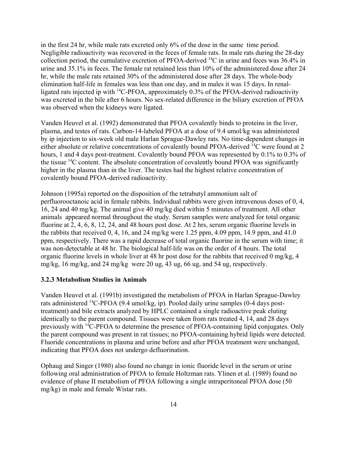in the first 24 hr, while male rats excreted only 6% of the dose in the same time period. Negligible radioactivity was recovered in the feces of female rats. In male rats during the 28-day collection period, the cumulative excretion of PFOA-derived  ${}^{14}C$  in urine and feces was 36.4% in urine and 35.1% in feces. The female rat retained less than 10% of the administered dose after 24 hr, while the male rats retained 30% of the administered dose after 28 days. The whole-body elimination half-life in females was less than one day, and in males it was 15 days. In renalligated rats injected ip with 14C-PFOA, approximately 0.3% of the PFOA-derived radioactivity was excreted in the bile after 6 hours. No sex-related difference in the biliary excretion of PFOA was observed when the kidneys were ligated.

Vanden Heuvel et al. (1992) demonstrated that PFOA covalently binds to proteins in the liver, plasma, and testes of rats. Carbon-14-labeled PFOA at a dose of 9.4 umol/kg was administered by ip injection to six-week old male Harlan Sprague-Dawley rats. No time-dependent changes in either absolute or relative concentrations of covalently bound PFOA-derived <sup>14</sup>C were found at 2 hours, 1 and 4 days post-treatment. Covalently bound PFOA was represented by 0.1% to 0.3% of the tissue  $^{14}$ C content. The absolute concentration of covalently bound PFOA was significantly higher in the plasma than in the liver. The testes had the highest relative concentration of covalently bound PFOA-derived radioactivity.

Johnson (1995a) reported on the disposition of the tetrabutyl ammonium salt of perfluorooctanoic acid in female rabbits. Individual rabbits were given intravenous doses of 0, 4, 16, 24 and 40 mg/kg. The animal give 40 mg/kg died within 5 minutes of treatment. All other animals appeared normal throughout the study. Serum samples were analyzed for total organic fluorine at 2, 4, 6, 8, 12, 24, and 48 hours post dose. At 2 hrs, serum organic fluorine levels in the rabbits that received 0, 4, 16, and 24 mg/kg were 1.25 ppm, 4.09 ppm, 14.9 ppm, and 41.0 ppm, respectively. There was a rapid decrease of total organic fluorine in the serum with time; it was non-detectable at 48 hr. The biological half-life was on the order of 4 hours. The total organic fluorine levels in whole liver at 48 hr post dose for the rabbits that received 0 mg/kg, 4 mg/kg, 16 mg/kg, and 24 mg/kg were 20 ug, 43 ug, 66 ug, and 54 ug, respectively.

#### **3.2.3 Metabolism Studies in Animals**

Vanden Heuvel et al. (1991b) investigated the metabolism of PFOA in Harlan Sprague-Dawley rats administered 14C-PFOA (9.4 umol/kg, ip). Pooled daily urine samples (0-4 days posttreatment) and bile extracts analyzed by HPLC contained a single radioactive peak eluting identically to the parent compound. Tissues were taken from rats treated 4, 14, and 28 days previously with 14C-PFOA to determine the presence of PFOA-containing lipid conjugates. Only the parent compound was present in rat tissues; no PFOA-containing hybrid lipids were detected. Fluoride concentrations in plasma and urine before and after PFOA treatment were unchanged, indicating that PFOA does not undergo defluorination.

Ophaug and Singer (1980) also found no change in ionic fluoride level in the serum or urine following oral administration of PFOA to female Holtzman rats. Ylinen et al. (1989) found no evidence of phase II metabolism of PFOA following a single intraperitoneal PFOA dose (50 mg/kg) in male and female Wistar rats.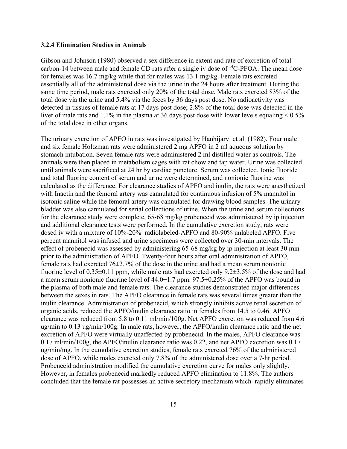#### **3.2.4 Elimination Studies in Animals**

Gibson and Johnson (1980) observed a sex difference in extent and rate of excretion of total carbon-14 between male and female CD rats after a single iv dose of 14C-PFOA. The mean dose for females was 16.7 mg/kg while that for males was 13.1 mg/kg. Female rats excreted essentially all of the administered dose via the urine in the 24 hours after treatment. During the same time period, male rats excreted only 20% of the total dose. Male rats excreted 83% of the total dose via the urine and 5.4% via the feces by 36 days post dose. No radioactivity was detected in tissues of female rats at 17 days post dose; 2.8% of the total dose was detected in the liver of male rats and 1.1% in the plasma at 36 days post dose with lower levels equaling  $< 0.5\%$ of the total dose in other organs.

The urinary excretion of APFO in rats was investigated by Hanhijarvi et al. (1982). Four male and six female Holtzman rats were administered 2 mg APFO in 2 ml aqueous solution by stomach intubation. Seven female rats were administered 2 ml distilled water as controls. The animals were then placed in metabolism cages with rat chow and tap water. Urine was collected until animals were sacrificed at 24 hr by cardiac puncture. Serum was collected. Ionic fluoride and total fluorine content of serum and urine were determined, and nonionic fluorine was calculated as the difference. For clearance studies of APFO and inulin, the rats were anesthetized with Inactin and the femoral artery was cannulated for continuous infusion of 5% mannitol in isotonic saline while the femoral artery was cannulated for drawing blood samples. The urinary bladder was also cannulated for serial collections of urine. When the urine and serum collections for the clearance study were complete, 65-68 mg/kg probenecid was administered by ip injection and additional clearance tests were performed. In the cumulative excretion study, rats were dosed iv with a mixture of 10%-20% radiolabeled-APFO and 80-90% unlabeled APFO. Five percent mannitol was infused and urine specimens were collected over 30-min intervals. The effect of probenecid was assessed by administering 65-68 mg/kg by ip injection at least 30 min prior to the administration of APFO. Twenty-four hours after oral administration of APFO, female rats had excreted  $76\pm2.7\%$  of the dose in the urine and had a mean serum nonionic fluorine level of 0.35 $\pm$ 0.11 ppm, while male rats had excreted only 9.2 $\pm$ 3.5% of the dose and had a mean serum nonionic fluorine level of  $44.0 \pm 1.7$  ppm.  $97.5 \pm 0.25$ % of the APFO was bound in the plasma of both male and female rats. The clearance studies demonstrated major differences between the sexes in rats. The APFO clearance in female rats was several times greater than the inulin clearance. Administration of probenecid, which strongly inhibits active renal secretion of organic acids, reduced the APFO/inulin clearance ratio in females from 14.5 to 0.46. APFO clearance was reduced from 5.8 to 0.11 ml/min/100g. Net APFO excretion was reduced from 4.6 ug/min to 0.13 ug/min/100g. In male rats, however, the APFO/inulin clearance ratio and the net excretion of APFO were virtually unaffected by probenecid. In the males, APFO clearance was 0.17 ml/min/100g, the APFO/inulin clearance ratio was 0.22, and net APFO excretion was 0.17 ug/min/mg. In the cumulative excretion studies, female rats excreted 76% of the administered dose of APFO, while males excreted only 7.8% of the administered dose over a 7-hr period. Probenecid administration modified the cumulative excretion curve for males only slightly. However, in females probenecid markedly reduced APFO elimination to 11.8%. The authors concluded that the female rat possesses an active secretory mechanism which rapidly eliminates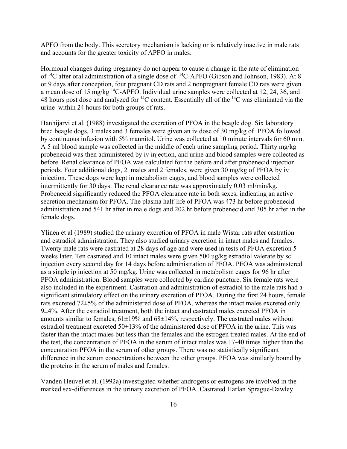APFO from the body. This secretory mechanism is lacking or is relatively inactive in male rats and accounts for the greater toxicity of APFO in males.

Hormonal changes during pregnancy do not appear to cause a change in the rate of elimination of <sup>14</sup>C after oral administration of a single dose of <sup>14</sup>C-APFO (Gibson and Johnson, 1983). At 8 or 9 days after conception, four pregnant CD rats and 2 nonpregnant female CD rats were given a mean dose of 15 mg/kg 14C-APFO. Individual urine samples were collected at 12, 24, 36, and 48 hours post dose and analyzed for  ${}^{14}C$  content. Essentially all of the  ${}^{14}C$  was eliminated via the urine within 24 hours for both groups of rats.

Hanhijarvi et al. (1988) investigated the excretion of PFOA in the beagle dog. Six laboratory bred beagle dogs, 3 males and 3 females were given an iv dose of 30 mg/kg of PFOA followed by continuous infusion with 5% mannitol. Urine was collected at 10 minute intervals for 60 min. A 5 ml blood sample was collected in the middle of each urine sampling period. Thirty mg/kg probenecid was then administered by iv injection, and urine and blood samples were collected as before. Renal clearance of PFOA was calculated for the before and after probenecid injection periods. Four additional dogs, 2 males and 2 females, were given 30 mg/kg of PFOA by iv injection. These dogs were kept in metabolism cages, and blood samples were collected intermittently for 30 days. The renal clearance rate was approximately 0.03 ml/min/kg. Probenecid significantly reduced the PFOA clearance rate in both sexes, indicating an active secretion mechanism for PFOA. The plasma half-life of PFOA was 473 hr before probenecid administration and 541 hr after in male dogs and 202 hr before probenecid and 305 hr after in the female dogs.

Ylinen et al (1989) studied the urinary excretion of PFOA in male Wistar rats after castration and estradiol administration. They also studied urinary excretion in intact males and females. Twenty male rats were castrated at 28 days of age and were used in tests of PFOA excretion 5 weeks later. Ten castrated and 10 intact males were given 500 ug/kg estradiol valerate by sc injection every second day for 14 days before administration of PFOA. PFOA was administered as a single ip injection at 50 mg/kg. Urine was collected in metabolism cages for 96 hr after PFOA administration. Blood samples were collected by cardiac puncture. Six female rats were also included in the experiment. Castration and administration of estradiol to the male rats had a significant stimulatory effect on the urinary excretion of PFOA. During the first 24 hours, female rats excreted 72±5% of the administered dose of PFOA, whereas the intact males excreted only 9±4%. After the estradiol treatment, both the intact and castrated males excreted PFOA in amounts similar to females,  $61\pm19\%$  and  $68\pm14\%$ , respectively. The castrated males without estradiol treatment excreted 50±13% of the administered dose of PFOA in the urine. This was faster than the intact males but less than the females and the estrogen treated males. At the end of the test, the concentration of PFOA in the serum of intact males was 17-40 times higher than the concentration PFOA in the serum of other groups. There was no statistically significant difference in the serum concentrations between the other groups. PFOA was similarly bound by the proteins in the serum of males and females.

Vanden Heuvel et al. (1992a) investigated whether androgens or estrogens are involved in the marked sex-differences in the urinary excretion of PFOA. Castrated Harlan Sprague-Dawley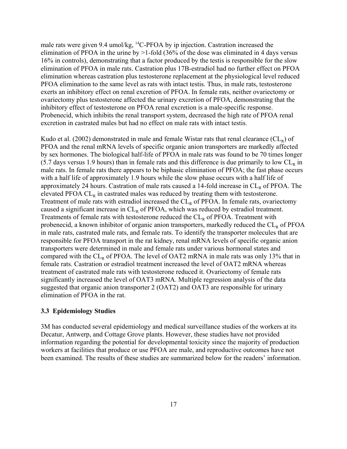male rats were given 9.4 umol/kg, <sup>14</sup>C-PFOA by ip injection. Castration increased the elimination of PFOA in the urine by  $>1$ -fold (36% of the dose was eliminated in 4 days versus 16% in controls), demonstrating that a factor produced by the testis is responsible for the slow elimination of PFOA in male rats. Castration plus 17B-estradiol had no further effect on PFOA elimination whereas castration plus testosterone replacement at the physiological level reduced PFOA elimination to the same level as rats with intact testis. Thus, in male rats, testosterone exerts an inhibitory effect on renal excretion of PFOA. In female rats, neither ovariectomy or ovariectomy plus testosterone affected the urinary excretion of PFOA, demonstrating that the inhibitory effect of testosterone on PFOA renal excretion is a male-specific response. Probenecid, which inhibits the renal transport system, decreased the high rate of PFOA renal excretion in castrated males but had no effect on male rats with intact testis.

Kudo et al. (2002) demonstrated in male and female Wistar rats that renal clearance  $CL<sub>R</sub>$ ) of PFOA and the renal mRNA levels of specific organic anion transporters are markedly affected by sex hormones. The biological half-life of PFOA in male rats was found to be 70 times longer  $(5.7$  days versus 1.9 hours) than in female rats and this difference is due primarily to low  $CL<sub>p</sub>$  in male rats. In female rats there appears to be biphasic elimination of PFOA; the fast phase occurs with a half life of approximately 1.9 hours while the slow phase occurs with a half life of approximately 24 hours. Castration of male rats caused a 14-fold increase in  $CL<sub>R</sub>$  of PFOA. The elevated PFOA  $CL<sub>R</sub>$  in castrated males was reduced by treating them with testosterone. Treatment of male rats with estradiol increased the  $CL_R$  of PFOA. In female rats, ovariectomy caused a significant increase in  $CL_R$  of PFOA, which was reduced by estradiol treatment. Treatments of female rats with testosterone reduced the  $CL<sub>R</sub>$  of PFOA. Treatment with probenecid, a known inhibitor of organic anion transporters, markedly reduced the  $CL<sub>R</sub>$  of PFOA in male rats, castrated male rats, and female rats. To identify the transporter molecules that are responsible for PFOA transport in the rat kidney, renal mRNA levels of specific organic anion transporters were determined in male and female rats under various hormonal states and compared with the  $CL_R$  of PFOA. The level of OAT2 mRNA in male rats was only 13% that in female rats. Castration or estradiol treatment increased the level of OAT2 mRNA whereas treatment of castrated male rats with testosterone reduced it. Ovariectomy of female rats significantly increased the level of OAT3 mRNA. Multiple regression analysis of the data suggested that organic anion transporter 2 (OAT2) and OAT3 are responsible for urinary elimination of PFOA in the rat.

#### **3.3 Epidemiology Studies**

3M has conducted several epidemiology and medical surveillance studies of the workers at its Decatur, Antwerp, and Cottage Grove plants. However, these studies have not provided information regarding the potential for developmental toxicity since the majority of production workers at facilities that produce or use PFOA are male, and reproductive outcomes have not been examined. The results of these studies are summarized below for the readers' information.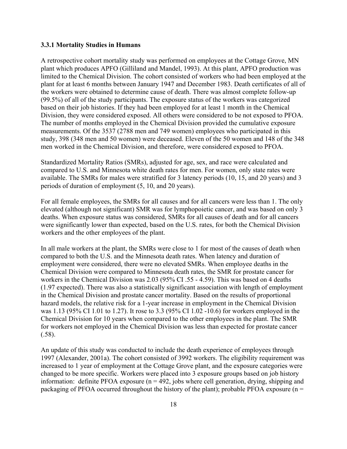#### **3.3.1 Mortality Studies in Humans**

A retrospective cohort mortality study was performed on employees at the Cottage Grove, MN plant which produces APFO (Gilliland and Mandel, 1993). At this plant, APFO production was limited to the Chemical Division. The cohort consisted of workers who had been employed at the plant for at least 6 months between January 1947 and December 1983. Death certificates of all of the workers were obtained to determine cause of death. There was almost complete follow-up (99.5%) of all of the study participants. The exposure status of the workers was categorized based on their job histories. If they had been employed for at least 1 month in the Chemical Division, they were considered exposed. All others were considered to be not exposed to PFOA. The number of months employed in the Chemical Division provided the cumulative exposure measurements. Of the 3537 (2788 men and 749 women) employees who participated in this study, 398 (348 men and 50 women) were deceased. Eleven of the 50 women and 148 of the 348 men worked in the Chemical Division, and therefore, were considered exposed to PFOA.

Standardized Mortality Ratios (SMRs), adjusted for age, sex, and race were calculated and compared to U.S. and Minnesota white death rates for men. For women, only state rates were available. The SMRs for males were stratified for 3 latency periods (10, 15, and 20 years) and 3 periods of duration of employment (5, 10, and 20 years).

For all female employees, the SMRs for all causes and for all cancers were less than 1. The only elevated (although not significant) SMR was for lymphopoietic cancer, and was based on only 3 deaths. When exposure status was considered, SMRs for all causes of death and for all cancers were significantly lower than expected, based on the U.S. rates, for both the Chemical Division workers and the other employees of the plant.

In all male workers at the plant, the SMRs were close to 1 for most of the causes of death when compared to both the U.S. and the Minnesota death rates. When latency and duration of employment were considered, there were no elevated SMRs. When employee deaths in the Chemical Division were compared to Minnesota death rates, the SMR for prostate cancer for workers in the Chemical Division was 2.03 (95% CI .55 - 4.59). This was based on 4 deaths (1.97 expected). There was also a statistically significant association with length of employment in the Chemical Division and prostate cancer mortality. Based on the results of proportional hazard models, the relative risk for a 1-year increase in employment in the Chemical Division was 1.13 (95% CI 1.01 to 1.27). It rose to 3.3 (95% CI 1.02 -10.6) for workers employed in the Chemical Division for 10 years when compared to the other employees in the plant. The SMR for workers not employed in the Chemical Division was less than expected for prostate cancer (.58).

An update of this study was conducted to include the death experience of employees through 1997 (Alexander, 2001a). The cohort consisted of 3992 workers. The eligibility requirement was increased to 1 year of employment at the Cottage Grove plant, and the exposure categories were changed to be more specific. Workers were placed into 3 exposure groups based on job history information: definite PFOA exposure  $(n = 492)$ , jobs where cell generation, drying, shipping and packaging of PFOA occurred throughout the history of the plant); probable PFOA exposure ( $n =$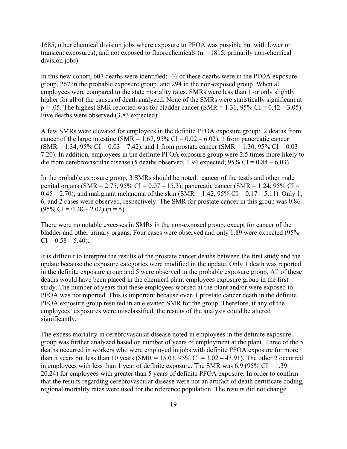1685, other chemical division jobs where exposure to PFOA was possible but with lower or transient exposures); and not exposed to fluorochemicals ( $n = 1815$ , primarily non-chemical division jobs).

In this new cohort, 607 deaths were identified: 46 of these deaths were in the PFOA exposure group, 267 in the probable exposure group, and 294 in the non-exposed group. When all employees were compared to the state mortality rates, SMRs were less than 1 or only slightly higher for all of the causes of death analyzed. None of the SMRs were statistically significant at  $p = .05$ . The highest SMR reported was for bladder cancer (SMR = 1.31, 95% CI = 0.42 – 3.05). Five deaths were observed (3.83 expected).

A few SMRs were elevated for employees in the definite PFOA exposure group: 2 deaths from cancer of the large intestine (SMR =  $1.67$ , 95% CI =  $0.02 - 6.02$ ), 1 from pancreatic cancer  $(SMR = 1.34, 95\% \text{ CI} = 0.03 - 7.42)$ , and 1 from prostate cancer  $(SMR = 1.30, 95\% \text{ CI} = 0.03 - 7.42)$ 7.20). In addition, employees in the definite PFOA exposure group were 2.5 times more likely to die from cerebrovascular disease (5 deaths observed, 1.94 expected;  $95\%$  CI = 0.84 – 6.03).

In the probable exposure group, 3 SMRs should be noted: cancer of the testis and other male genital organs (SMR = 2.75, 95% CI =  $0.07 - 15.3$ ); pancreatic cancer (SMR = 1.24, 95% CI =  $0.45 - 2.70$ ; and malignant melanoma of the skin (SMR = 1.42, 95% CI = 0.17 – 5.11). Only 1, 6, and 2 cases were observed, respectively. The SMR for prostate cancer in this group was 0.86  $(95\% \text{ CI} = 0.28 - 2.02)$  (n = 5).

There were no notable excesses in SMRs in the non-exposed group, except for cancer of the bladder and other urinary organs. Four cases were observed and only 1.89 were expected (95%  $CI = 0.58 - 5.40$ .

It is difficult to interpret the results of the prostate cancer deaths between the first study and the update because the exposure categories were modified in the update. Only 1 death was reported in the definite exposure group and 5 were observed in the probable exposure group. All of these deaths would have been placed in the chemical plant employees exposure group in the first study. The number of years that these employees worked at the plant and/or were exposed to PFOA was not reported. This is important because even 1 prostate cancer death in the definite PFOA exposure group resulted in an elevated SMR for the group. Therefore, if any of the employees' exposures were misclassified, the results of the analysis could be altered significantly.

The excess mortality in cerebrovascular disease noted in employees in the definite exposure group was further analyzed based on number of years of employment at the plant. Three of the 5 deaths occurred in workers who were employed in jobs with definite PFOA exposure for more than 5 years but less than 10 years (SMR =  $15.03$ ,  $95\%$  CI =  $3.02 - 43.91$ ). The other 2 occurred in employees with less than 1 year of definite exposure. The SMR was  $6.9$  (95% CI = 1.39 – 20.24) for employees with greater than 5 years of definite PFOA exposure. In order to confirm that the results regarding cerebrovascular disease were not an artifact of death certificate coding, regional mortality rates were used for the reference population. The results did not change.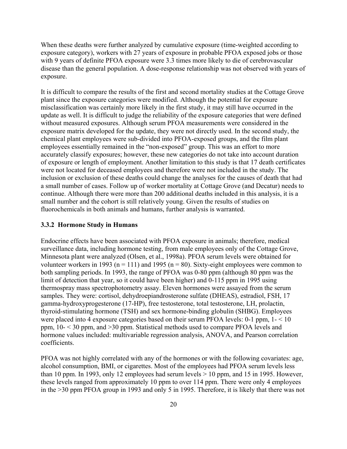When these deaths were further analyzed by cumulative exposure (time-weighted according to exposure category), workers with 27 years of exposure in probable PFOA exposed jobs or those with 9 years of definite PFOA exposure were 3.3 times more likely to die of cerebrovascular disease than the general population. A dose-response relationship was not observed with years of exposure.

It is difficult to compare the results of the first and second mortality studies at the Cottage Grove plant since the exposure categories were modified. Although the potential for exposure misclassification was certainly more likely in the first study, it may still have occurred in the update as well. It is difficult to judge the reliability of the exposure categories that were defined without measured exposures. Although serum PFOA measurements were considered in the exposure matrix developed for the update, they were not directly used. In the second study, the chemical plant employees were sub-divided into PFOA-exposed groups, and the film plant employees essentially remained in the "non-exposed" group. This was an effort to more accurately classify exposures; however, these new categories do not take into account duration of exposure or length of employment. Another limitation to this study is that 17 death certificates were not located for deceased employees and therefore were not included in the study. The inclusion or exclusion of these deaths could change the analyses for the causes of death that had a small number of cases. Follow up of worker mortality at Cottage Grove (and Decatur) needs to continue. Although there were more than 200 additional deaths included in this analysis, it is a small number and the cohort is still relatively young. Given the results of studies on fluorochemicals in both animals and humans, further analysis is warranted.

#### **3.3.2 Hormone Study in Humans**

Endocrine effects have been associated with PFOA exposure in animals; therefore, medical surveillance data, including hormone testing, from male employees only of the Cottage Grove, Minnesota plant were analyzed (Olsen, et al., 1998a). PFOA serum levels were obtained for volunteer workers in 1993 ( $n = 111$ ) and 1995 ( $n = 80$ ). Sixty-eight employees were common to both sampling periods. In 1993, the range of PFOA was 0-80 ppm (although 80 ppm was the limit of detection that year, so it could have been higher) and 0-115 ppm in 1995 using thermospray mass spectrophotometry assay. Eleven hormones were assayed from the serum samples. They were: cortisol, dehydroepiandrosterone sulfate (DHEAS), estradiol, FSH, 17 gamma-hydroxyprogesterone (17-HP), free testosterone, total testosterone, LH, prolactin, thyroid-stimulating hormone (TSH) and sex hormone-binding globulin (SHBG). Employees were placed into 4 exposure categories based on their serum PFOA levels: 0-1 ppm, 1- < 10 ppm, 10- < 30 ppm, and >30 ppm. Statistical methods used to compare PFOA levels and hormone values included: multivariable regression analysis, ANOVA, and Pearson correlation coefficients.

PFOA was not highly correlated with any of the hormones or with the following covariates: age, alcohol consumption, BMI, or cigarettes. Most of the employees had PFOA serum levels less than 10 ppm. In 1993, only 12 employees had serum levels > 10 ppm, and 15 in 1995. However, these levels ranged from approximately 10 ppm to over 114 ppm. There were only 4 employees in the >30 ppm PFOA group in 1993 and only 5 in 1995. Therefore, it is likely that there was not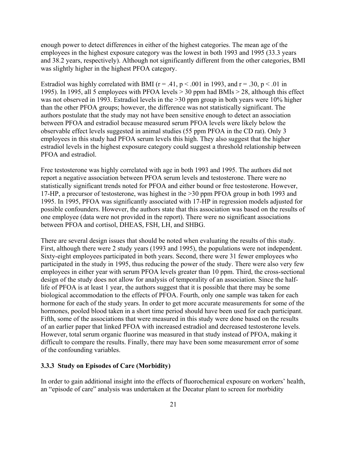enough power to detect differences in either of the highest categories. The mean age of the employees in the highest exposure category was the lowest in both 1993 and 1995 (33.3 years and 38.2 years, respectively). Although not significantly different from the other categories, BMI was slightly higher in the highest PFOA category.

Estradiol was highly correlated with BMI ( $r = .41$ ,  $p < .001$  in 1993, and  $r = .30$ ,  $p < .01$  in 1995). In 1995, all 5 employees with PFOA levels > 30 ppm had BMIs > 28, although this effect was not observed in 1993. Estradiol levels in the >30 ppm group in both years were 10% higher than the other PFOA groups; however, the difference was not statistically significant. The authors postulate that the study may not have been sensitive enough to detect an association between PFOA and estradiol because measured serum PFOA levels were likely below the observable effect levels suggested in animal studies (55 ppm PFOA in the CD rat). Only 3 employees in this study had PFOA serum levels this high. They also suggest that the higher estradiol levels in the highest exposure category could suggest a threshold relationship between PFOA and estradiol.

Free testosterone was highly correlated with age in both 1993 and 1995. The authors did not report a negative association between PFOA serum levels and testosterone. There were no statistically significant trends noted for PFOA and either bound or free testosterone. However, 17-HP, a precursor of testosterone, was highest in the >30 ppm PFOA group in both 1993 and 1995. In 1995, PFOA was significantly associated with 17-HP in regression models adjusted for possible confounders. However, the authors state that this association was based on the results of one employee (data were not provided in the report). There were no significant associations between PFOA and cortisol, DHEAS, FSH, LH, and SHBG.

There are several design issues that should be noted when evaluating the results of this study. First, although there were 2 study years (1993 and 1995), the populations were not independent. Sixty-eight employees participated in both years. Second, there were 31 fewer employees who participated in the study in 1995, thus reducing the power of the study. There were also very few employees in either year with serum PFOA levels greater than 10 ppm. Third, the cross-sectional design of the study does not allow for analysis of temporality of an association. Since the halflife of PFOA is at least 1 year, the authors suggest that it is possible that there may be some biological accommodation to the effects of PFOA. Fourth, only one sample was taken for each hormone for each of the study years. In order to get more accurate measurements for some of the hormones, pooled blood taken in a short time period should have been used for each participant. Fifth, some of the associations that were measured in this study were done based on the results of an earlier paper that linked PFOA with increased estradiol and decreased testosterone levels. However, total serum organic fluorine was measured in that study instead of PFOA, making it difficult to compare the results. Finally, there may have been some measurement error of some of the confounding variables.

# **3.3.3 Study on Episodes of Care (Morbidity)**

In order to gain additional insight into the effects of fluorochemical exposure on workers' health, an "episode of care" analysis was undertaken at the Decatur plant to screen for morbidity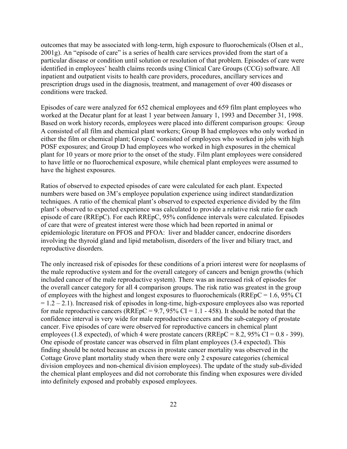outcomes that may be associated with long-term, high exposure to fluorochemicals (Olsen et al., 2001g). An "episode of care" is a series of health care services provided from the start of a particular disease or condition until solution or resolution of that problem. Episodes of care were identified in employees' health claims records using Clinical Care Groups (CCG) software. All inpatient and outpatient visits to health care providers, procedures, ancillary services and prescription drugs used in the diagnosis, treatment, and management of over 400 diseases or conditions were tracked.

Episodes of care were analyzed for 652 chemical employees and 659 film plant employees who worked at the Decatur plant for at least 1 year between January 1, 1993 and December 31, 1998. Based on work history records, employees were placed into different comparison groups: Group A consisted of all film and chemical plant workers; Group B had employees who only worked in either the film or chemical plant; Group C consisted of employees who worked in jobs with high POSF exposures; and Group D had employees who worked in high exposures in the chemical plant for 10 years or more prior to the onset of the study. Film plant employees were considered to have little or no fluorochemical exposure, while chemical plant employees were assumed to have the highest exposures.

Ratios of observed to expected episodes of care were calculated for each plant. Expected numbers were based on 3M's employee population experience using indirect standardization techniques. A ratio of the chemical plant's observed to expected experience divided by the film plant's observed to expected experience was calculated to provide a relative risk ratio for each episode of care (RREpC). For each RREpC, 95% confidence intervals were calculated. Episodes of care that were of greatest interest were those which had been reported in animal or epidemiologic literature on PFOS and PFOA: liver and bladder cancer, endocrine disorders involving the thyroid gland and lipid metabolism, disorders of the liver and biliary tract, and reproductive disorders.

The only increased risk of episodes for these conditions of a priori interest were for neoplasms of the male reproductive system and for the overall category of cancers and benign growths (which included cancer of the male reproductive system). There was an increased risk of episodes for the overall cancer category for all 4 comparison groups. The risk ratio was greatest in the group of employees with the highest and longest exposures to fluorochemicals ( $RREpC = 1.6$ , 95% CI  $= 1.2 - 2.1$ ). Increased risk of episodes in long-time, high-exposure employees also was reported for male reproductive cancers ( $RREpC = 9.7$ ,  $95\%$  CI = 1.1 - 458). It should be noted that the confidence interval is very wide for male reproductive cancers and the sub-category of prostate cancer. Five episodes of care were observed for reproductive cancers in chemical plant employees (1.8 expected), of which 4 were prostate cancers ( $RREpC = 8.2$ ,  $95\% CI = 0.8 - 399$ ). One episode of prostate cancer was observed in film plant employees (3.4 expected). This finding should be noted because an excess in prostate cancer mortality was observed in the Cottage Grove plant mortality study when there were only 2 exposure categories (chemical division employees and non-chemical division employees). The update of the study sub-divided the chemical plant employees and did not corroborate this finding when exposures were divided into definitely exposed and probably exposed employees.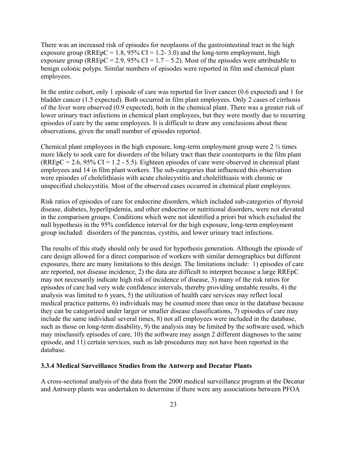There was an increased risk of episodes for neoplasms of the gastrointestinal tract in the high exposure group ( $RREpC = 1.8$ , 95%  $CI = 1.2 - 3.0$ ) and the long-term employment, high exposure group (RREpC = 2.9, 95% CI =  $1.7 - 5.2$ ). Most of the episodes were attributable to benign colonic polyps. Similar numbers of episodes were reported in film and chemical plant employees.

In the entire cohort, only 1 episode of care was reported for liver cancer (0.6 expected) and 1 for bladder cancer (1.5 expected). Both occurred in film plant employees. Only 2 cases of cirrhosis of the liver were observed (0.9 expected), both in the chemical plant. There was a greater risk of lower urinary tract infections in chemical plant employees, but they were mostly due to recurring episodes of care by the same employees. It is difficult to draw any conclusions about these observations, given the small number of episodes reported.

Chemical plant employees in the high exposure, long-term employment group were  $2\frac{1}{2}$  times more likely to seek care for disorders of the biliary tract than their counterparts in the film plant  $(RREpC = 2.6, 95\% CI = 1.2 - 5.5)$ . Eighteen episodes of care were observed in chemical plant employees and 14 in film plant workers. The sub-categories that influenced this observation were episodes of cholelithiasis with acute cholecystitis and cholelithiasis with chronic or unspecified cholecystitis. Most of the observed cases occurred in chemical plant employees.

Risk ratios of episodes of care for endocrine disorders, which included sub-categories of thyroid disease, diabetes, hyperlipidemia, and other endocrine or nutritional disorders, were not elevated in the comparison groups. Conditions which were not identified a priori but which excluded the null hypothesis in the 95% confidence interval for the high exposure, long-term employment group included: disorders of the pancreas, cystitis, and lower urinary tract infections.

The results of this study should only be used for hypothesis generation. Although the episode of care design allowed for a direct comparison of workers with similar demographics but different exposures, there are many limitations to this design. The limitations include: 1) episodes of care are reported, not disease incidence, 2) the data are difficult to interpret because a large RREpC may not necessarily indicate high risk of incidence of disease, 3) many of the risk ratios for episodes of care had very wide confidence intervals, thereby providing unstable results, 4) the analysis was limited to 6 years, 5) the utilization of health care services may reflect local medical practice patterns, 6) individuals may be counted more than once in the database because they can be categorized under larger or smaller disease classifications, 7) episodes of care may include the same individual several times, 8) not all employees were included in the database, such as those on long-term disability, 9) the analysis may be limited by the software used, which may misclassify episodes of care, 10) the software may assign 2 different diagnoses to the same episode, and 11) certain services, such as lab procedures may not have been reported in the database.

#### **3.3.4 Medical Surveillance Studies from the Antwerp and Decatur Plants**

A cross-sectional analysis of the data from the 2000 medical surveillance program at the Decatur and Antwerp plants was undertaken to determine if there were any associations between PFOA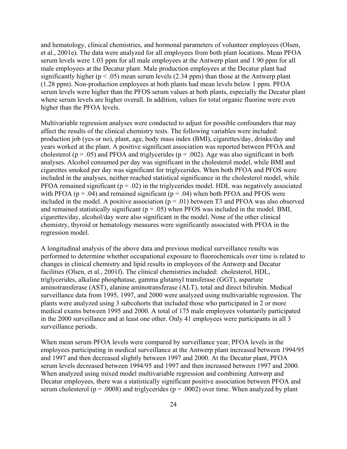and hematology, clinical chemistries, and hormonal parameters of volunteer employees (Olsen, et al., 2001e). The data were analyzed for all employees from both plant locations. Mean PFOA serum levels were 1.03 ppm for all male employees at the Antwerp plant and 1.90 ppm for all male employees at the Decatur plant. Male production employees at the Decatur plant had significantly higher ( $p < .05$ ) mean serum levels (2.34 ppm) than those at the Antwerp plant (1.28 ppm). Non-production employees at both plants had mean levels below 1 ppm. PFOA serum levels were higher than the PFOS serum values at both plants, especially the Decatur plant where serum levels are higher overall. In addition, values for total organic fluorine were even higher than the PFOA levels.

Multivariable regression analyses were conducted to adjust for possible confounders that may affect the results of the clinical chemistry tests. The following variables were included: production job (yes or no), plant, age, body mass index (BMI), cigarettes/day, drinks/day and years worked at the plant. A positive significant association was reported between PFOA and cholesterol ( $p = .05$ ) and PFOA and triglycerides ( $p = .002$ ). Age was also significant in both analyses. Alcohol consumed per day was significant in the cholesterol model, while BMI and cigarettes smoked per day was significant for triglycerides. When both PFOA and PFOS were included in the analyses, neither reached statistical significance in the cholesterol model, while PFOA remained significant ( $p = .02$ ) in the triglycerides model. HDL was negatively associated with PFOA ( $p = .04$ ) and remained significant ( $p = .04$ ) when both PFOA and PFOS were included in the model. A positive association  $(p = .01)$  between T3 and PFOA was also observed and remained statistically significant  $(p = .05)$  when PFOS was included in the model. BMI, cigarettes/day, alcohol/day were also significant in the model. None of the other clinical chemistry, thyroid or hematology measures were significantly associated with PFOA in the regression model.

A longitudinal analysis of the above data and previous medical surveillance results was performed to determine whether occupational exposure to fluorochemicals over time is related to changes in clinical chemistry and lipid results in employees of the Antwerp and Decatur facilities (Olsen, et al., 2001f). The clinical chemistries included: cholesterol, HDL, triglycerides, alkaline phosphatase, gamma glutamyl transferase (GGT), aspartate aminotransferase (AST), alanine aminotransferase (ALT), total and direct bilirubin. Medical surveillance data from 1995, 1997, and 2000 were analyzed using multivariable regression. The plants were analyzed using 3 subcohorts that included those who participated in 2 or more medical exams between 1995 and 2000. A total of 175 male employees voluntarily participated in the 2000 surveillance and at least one other. Only 41 employees were participants in all 3 surveillance periods.

When mean serum PFOA levels were compared by surveillance year, PFOA levels in the employees participating in medical surveillance at the Antwerp plant increased between 1994/95 and 1997 and then decreased slightly between 1997 and 2000. At the Decatur plant, PFOA serum levels decreased between 1994/95 and 1997 and then increased between 1997 and 2000. When analyzed using mixed model multivariable regression and combining Antwerp and Decatur employees, there was a statistically significant positive association between PFOA and serum cholesterol ( $p = .0008$ ) and triglycerides ( $p = .0002$ ) over time. When analyzed by plant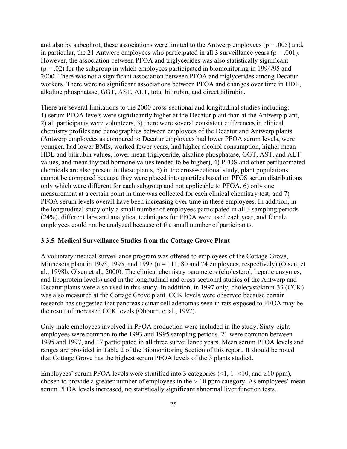and also by subcohort, these associations were limited to the Antwerp employees ( $p = .005$ ) and, in particular, the 21 Antwerp employees who participated in all 3 surveillance years ( $p = .001$ ). However, the association between PFOA and triglycerides was also statistically significant  $(p = .02)$  for the subgroup in which employees participated in biomonitoring in 1994/95 and 2000. There was not a significant association between PFOA and triglycerides among Decatur workers. There were no significant associations between PFOA and changes over time in HDL, alkaline phosphatase, GGT, AST, ALT, total bilirubin, and direct bilirubin.

There are several limitations to the 2000 cross-sectional and longitudinal studies including: 1) serum PFOA levels were significantly higher at the Decatur plant than at the Antwerp plant, 2) all participants were volunteers, 3) there were several consistent differences in clinical chemistry profiles and demographics between employees of the Decatur and Antwerp plants (Antwerp employees as compared to Decatur employees had lower PFOA serum levels, were younger, had lower BMIs, worked fewer years, had higher alcohol consumption, higher mean HDL and bilirubin values, lower mean triglyceride, alkaline phosphatase, GGT, AST, and ALT values, and mean thyroid hormone values tended to be higher), 4) PFOS and other perfluorinated chemicals are also present in these plants, 5) in the cross-sectional study, plant populations cannot be compared because they were placed into quartiles based on PFOS serum distributions only which were different for each subgroup and not applicable to PFOA, 6) only one measurement at a certain point in time was collected for each clinical chemistry test, and 7) PFOA serum levels overall have been increasing over time in these employees. In addition, in the longitudinal study only a small number of employees participated in all 3 sampling periods (24%), different labs and analytical techniques for PFOA were used each year, and female employees could not be analyzed because of the small number of participants.

#### **3.3.5 Medical Surveillance Studies from the Cottage Grove Plant**

A voluntary medical surveillance program was offered to employees of the Cottage Grove, Minnesota plant in 1993, 1995, and 1997 ( $n = 111$ , 80 and 74 employees, respectively) (Olsen, et al., 1998b, Olsen et al., 2000). The clinical chemistry parameters (cholesterol, hepatic enzymes, and lipoprotein levels) used in the longitudinal and cross-sectional studies of the Antwerp and Decatur plants were also used in this study. In addition, in 1997 only, cholecystokinin-33 (CCK) was also measured at the Cottage Grove plant. CCK levels were observed because certain research has suggested that pancreas acinar cell adenomas seen in rats exposed to PFOA may be the result of increased CCK levels (Obourn, et al., 1997).

Only male employees involved in PFOA production were included in the study. Sixty-eight employees were common to the 1993 and 1995 sampling periods, 21 were common between 1995 and 1997, and 17 participated in all three surveillance years. Mean serum PFOA levels and ranges are provided in Table 2 of the Biomonitoring Section of this report. It should be noted that Cottage Grove has the highest serum PFOA levels of the 3 plants studied.

Employees' serum PFOA levels were stratified into 3 categories (<1, 1 - <10, and  $\geq$ 10 ppm), chosen to provide a greater number of employees in the  $\geq 10$  ppm category. As employees' mean serum PFOA levels increased, no statistically significant abnormal liver function tests,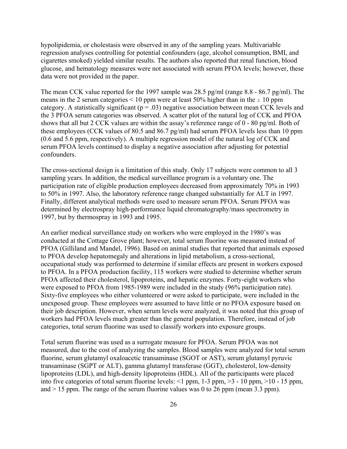hypolipidemia, or cholestasis were observed in any of the sampling years. Multivariable regression analyses controlling for potential confounders (age, alcohol consumption, BMI, and cigarettes smoked) yielded similar results. The authors also reported that renal function, blood glucose, and hematology measures were not associated with serum PFOA levels; however, these data were not provided in the paper.

The mean CCK value reported for the 1997 sample was 28.5 pg/ml (range 8.8 - 86.7 pg/ml). The means in the 2 serum categories  $\leq 10$  ppm were at least 50% higher than in the  $\geq 10$  ppm category. A statistically significant ( $p = .03$ ) negative association between mean CCK levels and the 3 PFOA serum categories was observed. A scatter plot of the natural log of CCK and PFOA shows that all but 2 CCK values are within the assay's reference range of 0 - 80 pg/ml. Both of these employees (CCK values of 80.5 and 86.7 pg/ml) had serum PFOA levels less than 10 ppm (0.6 and 5.6 ppm, respectively). A multiple regression model of the natural log of CCK and serum PFOA levels continued to display a negative association after adjusting for potential confounders.

The cross-sectional design is a limitation of this study. Only 17 subjects were common to all 3 sampling years. In addition, the medical surveillance program is a voluntary one. The participation rate of eligible production employees decreased from approximately 70% in 1993 to 50% in 1997. Also, the laboratory reference range changed substantially for ALT in 1997. Finally, different analytical methods were used to measure serum PFOA. Serum PFOA was determined by electrospray high-performance liquid chromatography/mass spectrometry in 1997, but by thermospray in 1993 and 1995.

An earlier medical surveillance study on workers who were employed in the 1980's was conducted at the Cottage Grove plant; however, total serum fluorine was measured instead of PFOA (Gilliland and Mandel, 1996). Based on animal studies that reported that animals exposed to PFOA develop hepatomegaly and alterations in lipid metabolism, a cross-sectional, occupational study was performed to determine if similar effects are present in workers exposed to PFOA. In a PFOA production facility, 115 workers were studied to determine whether serum PFOA affected their cholesterol, lipoproteins, and hepatic enzymes. Forty-eight workers who were exposed to PFOA from 1985-1989 were included in the study (96% participation rate). Sixty-five employees who either volunteered or were asked to participate, were included in the unexposed group. These employees were assumed to have little or no PFOA exposure based on their job description. However, when serum levels were analyzed, it was noted that this group of workers had PFOA levels much greater than the general population. Therefore, instead of job categories, total serum fluorine was used to classify workers into exposure groups.

Total serum fluorine was used as a surrogate measure for PFOA. Serum PFOA was not measured, due to the cost of analyzing the samples. Blood samples were analyzed for total serum fluorine, serum glutamyl oxaloacetic transaminase (SGOT or AST), serum glutamyl pyruvic transaminase (SGPT or ALT), gamma glutamyl transferase (GGT), cholesterol, low-density lipoproteins (LDL), and high-density lipoproteins (HDL). All of the participants were placed into five categories of total serum fluorine levels: <1 ppm, 1-3 ppm, >3 - 10 ppm, >10 - 15 ppm, and  $> 15$  ppm. The range of the serum fluorine values was 0 to 26 ppm (mean 3.3 ppm).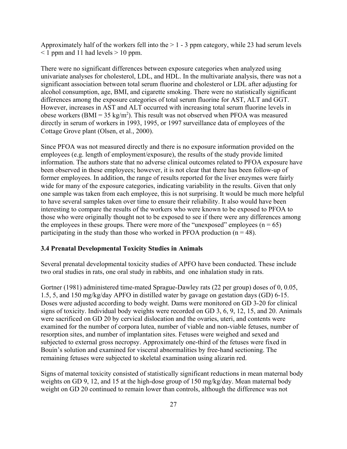Approximately half of the workers fell into the  $> 1 - 3$  ppm category, while 23 had serum levels  $\leq$  1 ppm and 11 had levels  $>$  10 ppm.

There were no significant differences between exposure categories when analyzed using univariate analyses for cholesterol, LDL, and HDL. In the multivariate analysis, there was not a significant association between total serum fluorine and cholesterol or LDL after adjusting for alcohol consumption, age, BMI, and cigarette smoking. There were no statistically significant differences among the exposure categories of total serum fluorine for AST, ALT and GGT. However, increases in AST and ALT occurred with increasing total serum fluorine levels in obese workers (BMI =  $35 \text{ kg/m}^2$ ). This result was not observed when PFOA was measured directly in serum of workers in 1993, 1995, or 1997 surveillance data of employees of the Cottage Grove plant (Olsen, et al., 2000).

Since PFOA was not measured directly and there is no exposure information provided on the employees (e.g. length of employment/exposure), the results of the study provide limited information. The authors state that no adverse clinical outcomes related to PFOA exposure have been observed in these employees; however, it is not clear that there has been follow-up of former employees. In addition, the range of results reported for the liver enzymes were fairly wide for many of the exposure categories, indicating variability in the results. Given that only one sample was taken from each employee, this is not surprising. It would be much more helpful to have several samples taken over time to ensure their reliability. It also would have been interesting to compare the results of the workers who were known to be exposed to PFOA to those who were originally thought not to be exposed to see if there were any differences among the employees in these groups. There were more of the "unexposed" employees ( $n = 65$ ) participating in the study than those who worked in PFOA production  $(n = 48)$ .

#### **3.4 Prenatal Developmental Toxicity Studies in Animals**

Several prenatal developmental toxicity studies of APFO have been conducted. These include two oral studies in rats, one oral study in rabbits, and one inhalation study in rats.

Gortner (1981) administered time-mated Sprague-Dawley rats (22 per group) doses of 0, 0.05, 1.5, 5, and 150 mg/kg/day APFO in distilled water by gavage on gestation days (GD) 6-15. Doses were adjusted according to body weight. Dams were monitored on GD 3-20 for clinical signs of toxicity. Individual body weights were recorded on GD 3, 6, 9, 12, 15, and 20. Animals were sacrificed on GD 20 by cervical dislocation and the ovaries, uteri, and contents were examined for the number of corpora lutea, number of viable and non-viable fetuses, number of resorption sites, and number of implantation sites. Fetuses were weighed and sexed and subjected to external gross necropsy. Approximately one-third of the fetuses were fixed in Bouin's solution and examined for visceral abnormalities by free-hand sectioning. The remaining fetuses were subjected to skeletal examination using alizarin red.

Signs of maternal toxicity consisted of statistically significant reductions in mean maternal body weights on GD 9, 12, and 15 at the high-dose group of 150 mg/kg/day. Mean maternal body weight on GD 20 continued to remain lower than controls, although the difference was not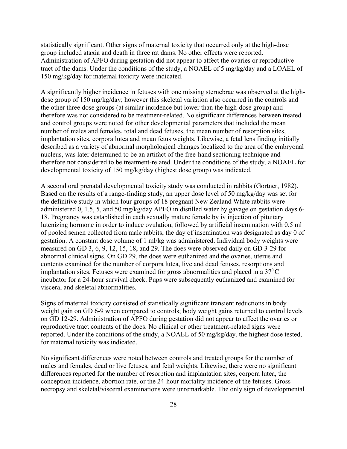statistically significant. Other signs of maternal toxicity that occurred only at the high-dose group included ataxia and death in three rat dams. No other effects were reported. Administration of APFO during gestation did not appear to affect the ovaries or reproductive tract of the dams. Under the conditions of the study, a NOAEL of 5 mg/kg/day and a LOAEL of 150 mg/kg/day for maternal toxicity were indicated.

A significantly higher incidence in fetuses with one missing sternebrae was observed at the highdose group of 150 mg/kg/day; however this skeletal variation also occurred in the controls and the other three dose groups (at similar incidence but lower than the high-dose group) and therefore was not considered to be treatment-related. No significant differences between treated and control groups were noted for other developmental parameters that included the mean number of males and females, total and dead fetuses, the mean number of resorption sites, implantation sites, corpora lutea and mean fetus weights. Likewise, a fetal lens finding initially described as a variety of abnormal morphological changes localized to the area of the embryonal nucleus, was later determined to be an artifact of the free-hand sectioning technique and therefore not considered to be treatment-related. Under the conditions of the study, a NOAEL for developmental toxicity of 150 mg/kg/day (highest dose group) was indicated.

A second oral prenatal developmental toxicity study was conducted in rabbits (Gortner, 1982). Based on the results of a range-finding study, an upper dose level of 50 mg/kg/day was set for the definitive study in which four groups of 18 pregnant New Zealand White rabbits were administered 0, 1.5, 5, and 50 mg/kg/day APFO in distilled water by gavage on gestation days 6- 18. Pregnancy was established in each sexually mature female by iv injection of pituitary lutenizing hormone in order to induce ovulation, followed by artificial insemination with 0.5 ml of pooled semen collected from male rabbits; the day of insemination was designated as day 0 of gestation. A constant dose volume of 1 ml/kg was administered. Individual body weights were measured on GD 3, 6, 9, 12, 15, 18, and 29. The does were observed daily on GD 3-29 for abnormal clinical signs. On GD 29, the does were euthanized and the ovaries, uterus and contents examined for the number of corpora lutea, live and dead fetuses, resorptions and implantation sites. Fetuses were examined for gross abnormalities and placed in a  $37^{\circ}$ C incubator for a 24-hour survival check. Pups were subsequently euthanized and examined for visceral and skeletal abnormalities.

Signs of maternal toxicity consisted of statistically significant transient reductions in body weight gain on GD 6-9 when compared to controls; body weight gains returned to control levels on GD 12-29. Administration of APFO during gestation did not appear to affect the ovaries or reproductive tract contents of the does. No clinical or other treatment-related signs were reported. Under the conditions of the study, a NOAEL of 50 mg/kg/day, the highest dose tested, for maternal toxicity was indicated.

No significant differences were noted between controls and treated groups for the number of males and females, dead or live fetuses, and fetal weights. Likewise, there were no significant differences reported for the number of resorption and implantation sites, corpora lutea, the conception incidence, abortion rate, or the 24-hour mortality incidence of the fetuses. Gross necropsy and skeletal/visceral examinations were unremarkable. The only sign of developmental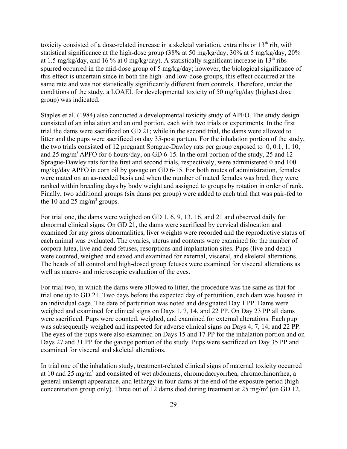toxicity consisted of a dose-related increase in a skeletal variation, extra ribs or  $13<sup>th</sup>$  rib, with statistical significance at the high-dose group (38% at 50 mg/kg/day, 30% at 5 mg/kg/day, 20% at 1.5 mg/kg/day, and 16 % at 0 mg/kg/day). A statistically significant increase in  $13<sup>th</sup>$  ribsspurred occurred in the mid-dose group of 5 mg/kg/day; however, the biological significance of this effect is uncertain since in both the high- and low-dose groups, this effect occurred at the same rate and was not statistically significantly different from controls. Therefore, under the conditions of the study, a LOAEL for developmental toxicity of 50 mg/kg/day (highest dose group) was indicated.

Staples et al. (1984) also conducted a developmental toxicity study of APFO. The study design consisted of an inhalation and an oral portion, each with two trials or experiments. In the first trial the dams were sacrificed on GD 21; while in the second trial, the dams were allowed to litter and the pups were sacrificed on day 35-post partum. For the inhalation portion of the study, the two trials consisted of 12 pregnant Sprague-Dawley rats per group exposed to 0, 0.1, 1, 10, and 25 mg/m<sup>3</sup> APFO for 6 hours/day, on GD 6-15. In the oral portion of the study, 25 and 12 Sprague-Dawley rats for the first and second trials, respectively, were administered 0 and 100 mg/kg/day APFO in corn oil by gavage on GD 6-15. For both routes of administration, females were mated on an as-needed basis and when the number of mated females was bred, they were ranked within breeding days by body weight and assigned to groups by rotation in order of rank. Finally, two additional groups (six dams per group) were added to each trial that was pair-fed to the 10 and 25 mg/m<sup>3</sup> groups.

For trial one, the dams were weighed on GD 1, 6, 9, 13, 16, and 21 and observed daily for abnormal clinical signs. On GD 21, the dams were sacrificed by cervical dislocation and examined for any gross abnormalities, liver weights were recorded and the reproductive status of each animal was evaluated. The ovaries, uterus and contents were examined for the number of corpora lutea, live and dead fetuses, resorptions and implantation sites. Pups (live and dead) were counted, weighed and sexed and examined for external, visceral, and skeletal alterations. The heads of all control and high-dosed group fetuses were examined for visceral alterations as well as macro- and microscopic evaluation of the eyes.

For trial two, in which the dams were allowed to litter, the procedure was the same as that for trial one up to GD 21. Two days before the expected day of parturition, each dam was housed in an individual cage. The date of parturition was noted and designated Day 1 PP. Dams were weighed and examined for clinical signs on Days 1, 7, 14, and 22 PP. On Day 23 PP all dams were sacrificed. Pups were counted, weighed, and examined for external alterations. Each pup was subsequently weighed and inspected for adverse clinical signs on Days 4, 7, 14, and 22 PP. The eyes of the pups were also examined on Days 15 and 17 PP for the inhalation portion and on Days 27 and 31 PP for the gavage portion of the study. Pups were sacrificed on Day 35 PP and examined for visceral and skeletal alterations.

In trial one of the inhalation study, treatment-related clinical signs of maternal toxicity occurred at 10 and 25 mg/m<sup>3</sup> and consisted of wet abdomens, chromodacryorrhea, chromorhinorrhea, a general unkempt appearance, and lethargy in four dams at the end of the exposure period (highconcentration group only). Three out of 12 dams died during treatment at 25 mg/m<sup>3</sup> (on GD 12,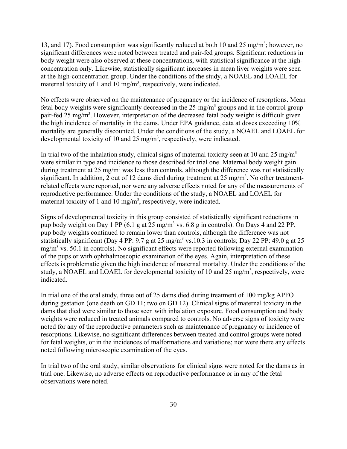13, and 17). Food consumption was significantly reduced at both 10 and 25 mg/m<sup>3</sup>; however, no significant differences were noted between treated and pair-fed groups. Significant reductions in body weight were also observed at these concentrations, with statistical significance at the highconcentration only. Likewise, statistically significant increases in mean liver weights were seen at the high-concentration group. Under the conditions of the study, a NOAEL and LOAEL for maternal toxicity of 1 and 10 mg/m<sup>3</sup>, respectively, were indicated.

No effects were observed on the maintenance of pregnancy or the incidence of resorptions. Mean fetal body weights were significantly decreased in the 25-mg/m<sup>3</sup> groups and in the control group pair-fed 25 mg/m<sup>3</sup>. However, interpretation of the decreased fetal body weight is difficult given the high incidence of mortality in the dams. Under EPA guidance, data at doses exceeding 10% mortality are generally discounted. Under the conditions of the study, a NOAEL and LOAEL for developmental toxicity of 10 and 25 mg/m<sup>3</sup>, respectively, were indicated.

In trial two of the inhalation study, clinical signs of maternal toxicity seen at 10 and 25 mg/m<sup>3</sup> were similar in type and incidence to those described for trial one. Maternal body weight gain during treatment at 25 mg/m<sup>3</sup> was less than controls, although the difference was not statistically significant. In addition, 2 out of 12 dams died during treatment at  $25 \text{ mg/m}^3$ . No other treatmentrelated effects were reported, nor were any adverse effects noted for any of the measurements of reproductive performance. Under the conditions of the study, a NOAEL and LOAEL for maternal toxicity of 1 and 10 mg/m<sup>3</sup>, respectively, were indicated.

Signs of developmental toxicity in this group consisted of statistically significant reductions in pup body weight on Day 1 PP  $(6.1 \text{ g at } 25 \text{ mg/m}^3 \text{ vs. } 6.8 \text{ g in controls})$ . On Days 4 and 22 PP, pup body weights continued to remain lower than controls, although the difference was not statistically significant (Day 4 PP: 9.7 g at 25 mg/m<sup>3</sup> vs.10.3 in controls; Day 22 PP: 49.0 g at 25 mg/m<sup>3</sup> vs. 50.1 in controls). No significant effects were reported following external examination of the pups or with ophthalmoscopic examination of the eyes. Again, interpretation of these effects is problematic given the high incidence of maternal mortality. Under the conditions of the study, a NOAEL and LOAEL for developmental toxicity of 10 and 25 mg/m<sup>3</sup>, respectively, were indicated.

In trial one of the oral study, three out of 25 dams died during treatment of 100 mg/kg APFO during gestation (one death on GD 11; two on GD 12). Clinical signs of maternal toxicity in the dams that died were similar to those seen with inhalation exposure. Food consumption and body weights were reduced in treated animals compared to controls. No adverse signs of toxicity were noted for any of the reproductive parameters such as maintenance of pregnancy or incidence of resorptions. Likewise, no significant differences between treated and control groups were noted for fetal weights, or in the incidences of malformations and variations; nor were there any effects noted following microscopic examination of the eyes.

In trial two of the oral study, similar observations for clinical signs were noted for the dams as in trial one. Likewise, no adverse effects on reproductive performance or in any of the fetal observations were noted.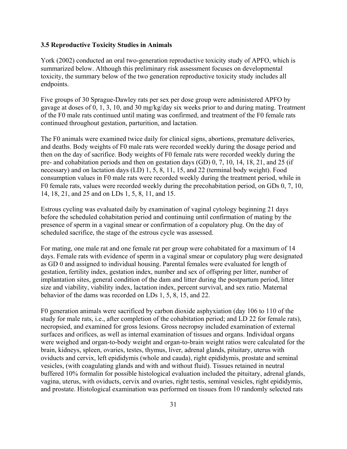#### **3.5 Reproductive Toxicity Studies in Animals**

York (2002) conducted an oral two-generation reproductive toxicity study of APFO, which is summarized below. Although this preliminary risk assessment focuses on developmental toxicity, the summary below of the two generation reproductive toxicity study includes all endpoints.

Five groups of 30 Sprague-Dawley rats per sex per dose group were administered APFO by gavage at doses of 0, 1, 3, 10, and 30 mg/kg/day six weeks prior to and during mating. Treatment of the F0 male rats continued until mating was confirmed, and treatment of the F0 female rats continued throughout gestation, parturition, and lactation.

The F0 animals were examined twice daily for clinical signs, abortions, premature deliveries, and deaths. Body weights of F0 male rats were recorded weekly during the dosage period and then on the day of sacrifice. Body weights of F0 female rats were recorded weekly during the pre- and cohabitation periods and then on gestation days (GD) 0, 7, 10, 14, 18, 21, and 25 (if necessary) and on lactation days (LD) 1, 5, 8, 11, 15, and 22 (terminal body weight). Food consumption values in F0 male rats were recorded weekly during the treatment period, while in F0 female rats, values were recorded weekly during the precohabitation period, on GDs 0, 7, 10, 14, 18, 21, and 25 and on LDs 1, 5, 8, 11, and 15.

Estrous cycling was evaluated daily by examination of vaginal cytology beginning 21 days before the scheduled cohabitation period and continuing until confirmation of mating by the presence of sperm in a vaginal smear or confirmation of a copulatory plug. On the day of scheduled sacrifice, the stage of the estrous cycle was assessed.

For mating, one male rat and one female rat per group were cohabitated for a maximum of 14 days. Female rats with evidence of sperm in a vaginal smear or copulatory plug were designated as GD 0 and assigned to individual housing. Parental females were evaluated for length of gestation, fertility index, gestation index, number and sex of offspring per litter, number of implantation sites, general condition of the dam and litter during the postpartum period, litter size and viability, viability index, lactation index, percent survival, and sex ratio. Maternal behavior of the dams was recorded on LDs 1, 5, 8, 15, and 22.

F0 generation animals were sacrificed by carbon dioxide asphyxiation (day 106 to 110 of the study for male rats, i.e., after completion of the cohabitation period; and LD 22 for female rats), necropsied, and examined for gross lesions. Gross necropsy included examination of external surfaces and orifices, as well as internal examination of tissues and organs. Individual organs were weighed and organ-to-body weight and organ-to-brain weight ratios were calculated for the brain, kidneys, spleen, ovaries, testes, thymus, liver, adrenal glands, pituitary, uterus with oviducts and cervix, left epididymis (whole and cauda), right epididymis, prostate and seminal vesicles, (with coagulating glands and with and without fluid). Tissues retained in neutral buffered 10% formalin for possible histological evaluation included the pituitary, adrenal glands, vagina, uterus, with oviducts, cervix and ovaries, right testis, seminal vesicles, right epididymis, and prostate. Histological examination was performed on tissues from 10 randomly selected rats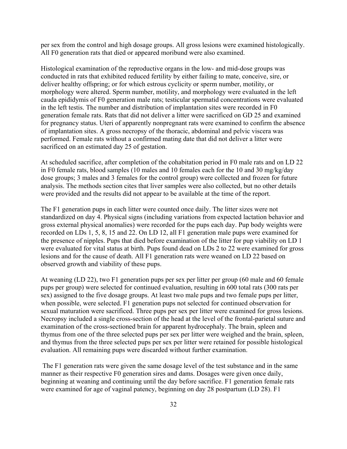per sex from the control and high dosage groups. All gross lesions were examined histologically. All F0 generation rats that died or appeared moribund were also examined.

Histological examination of the reproductive organs in the low- and mid-dose groups was conducted in rats that exhibited reduced fertility by either failing to mate, conceive, sire, or deliver healthy offspring; or for which estrous cyclicity or sperm number, motility, or morphology were altered. Sperm number, motility, and morphology were evaluated in the left cauda epididymis of F0 generation male rats; testicular spermatid concentrations were evaluated in the left testis. The number and distribution of implantation sites were recorded in F0 generation female rats. Rats that did not deliver a litter were sacrificed on GD 25 and examined for pregnancy status. Uteri of apparently nonpregnant rats were examined to confirm the absence of implantation sites. A gross necropsy of the thoracic, abdominal and pelvic viscera was performed. Female rats without a confirmed mating date that did not deliver a litter were sacrificed on an estimated day 25 of gestation.

At scheduled sacrifice, after completion of the cohabitation period in F0 male rats and on LD 22 in F0 female rats, blood samples (10 males and 10 females each for the 10 and 30 mg/kg/day dose groups; 3 males and 3 females for the control group) were collected and frozen for future analysis. The methods section cites that liver samples were also collected, but no other details were provided and the results did not appear to be available at the time of the report.

The F1 generation pups in each litter were counted once daily. The litter sizes were not standardized on day 4. Physical signs (including variations from expected lactation behavior and gross external physical anomalies) were recorded for the pups each day. Pup body weights were recorded on LDs 1, 5, 8, 15 and 22. On LD 12, all F1 generation male pups were examined for the presence of nipples. Pups that died before examination of the litter for pup viability on LD 1 were evaluated for vital status at birth. Pups found dead on LDs 2 to 22 were examined for gross lesions and for the cause of death. All F1 generation rats were weaned on LD 22 based on observed growth and viability of these pups.

At weaning (LD 22), two F1 generation pups per sex per litter per group (60 male and 60 female pups per group) were selected for continued evaluation, resulting in 600 total rats (300 rats per sex) assigned to the five dosage groups. At least two male pups and two female pups per litter, when possible, were selected. F1 generation pups not selected for continued observation for sexual maturation were sacrificed. Three pups per sex per litter were examined for gross lesions. Necropsy included a single cross-section of the head at the level of the frontal-parietal suture and examination of the cross-sectioned brain for apparent hydrocephaly. The brain, spleen and thymus from one of the three selected pups per sex per litter were weighed and the brain, spleen, and thymus from the three selected pups per sex per litter were retained for possible histological evaluation. All remaining pups were discarded without further examination.

The F1 generation rats were given the same dosage level of the test substance and in the same manner as their respective F0 generation sires and dams. Dosages were given once daily, beginning at weaning and continuing until the day before sacrifice. F1 generation female rats were examined for age of vaginal patency, beginning on day 28 postpartum (LD 28). F1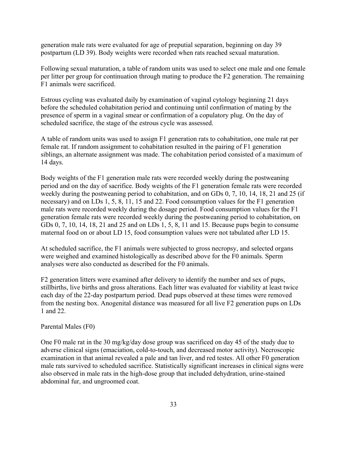generation male rats were evaluated for age of preputial separation, beginning on day 39 postpartum (LD 39). Body weights were recorded when rats reached sexual maturation.

Following sexual maturation, a table of random units was used to select one male and one female per litter per group for continuation through mating to produce the F2 generation. The remaining F1 animals were sacrificed.

Estrous cycling was evaluated daily by examination of vaginal cytology beginning 21 days before the scheduled cohabitation period and continuing until confirmation of mating by the presence of sperm in a vaginal smear or confirmation of a copulatory plug. On the day of scheduled sacrifice, the stage of the estrous cycle was assessed.

A table of random units was used to assign F1 generation rats to cohabitation, one male rat per female rat. If random assignment to cohabitation resulted in the pairing of F1 generation siblings, an alternate assignment was made. The cohabitation period consisted of a maximum of 14 days.

Body weights of the F1 generation male rats were recorded weekly during the postweaning period and on the day of sacrifice. Body weights of the F1 generation female rats were recorded weekly during the postweaning period to cohabitation, and on GDs 0, 7, 10, 14, 18, 21 and 25 (if necessary) and on LDs 1, 5, 8, 11, 15 and 22. Food consumption values for the F1 generation male rats were recorded weekly during the dosage period. Food consumption values for the F1 generation female rats were recorded weekly during the postweaning period to cohabitation, on GDs 0, 7, 10, 14, 18, 21 and 25 and on LDs 1, 5, 8, 11 and 15. Because pups begin to consume maternal food on or about LD 15, food consumption values were not tabulated after LD 15.

At scheduled sacrifice, the F1 animals were subjected to gross necropsy, and selected organs were weighed and examined histologically as described above for the F0 animals. Sperm analyses were also conducted as described for the F0 animals.

F2 generation litters were examined after delivery to identify the number and sex of pups, stillbirths, live births and gross alterations. Each litter was evaluated for viability at least twice each day of the 22-day postpartum period. Dead pups observed at these times were removed from the nesting box. Anogenital distance was measured for all live F2 generation pups on LDs 1 and 22.

Parental Males (F0)

One F0 male rat in the 30 mg/kg/day dose group was sacrificed on day 45 of the study due to adverse clinical signs (emaciation, cold-to-touch, and decreased motor activity). Necroscopic examination in that animal revealed a pale and tan liver, and red testes. All other F0 generation male rats survived to scheduled sacrifice. Statistically significant increases in clinical signs were also observed in male rats in the high-dose group that included dehydration, urine-stained abdominal fur, and ungroomed coat.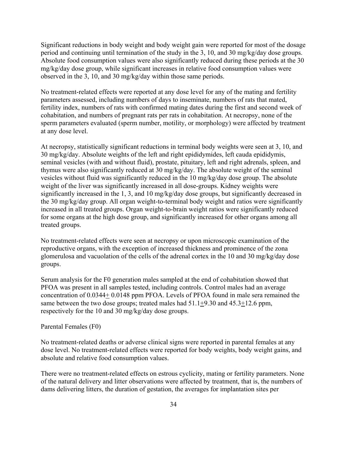Significant reductions in body weight and body weight gain were reported for most of the dosage period and continuing until termination of the study in the 3, 10, and 30 mg/kg/day dose groups. Absolute food consumption values were also significantly reduced during these periods at the 30 mg/kg/day dose group, while significant increases in relative food consumption values were observed in the 3, 10, and 30 mg/kg/day within those same periods.

No treatment-related effects were reported at any dose level for any of the mating and fertility parameters assessed, including numbers of days to inseminate, numbers of rats that mated, fertility index, numbers of rats with confirmed mating dates during the first and second week of cohabitation, and numbers of pregnant rats per rats in cohabitation. At necropsy, none of the sperm parameters evaluated (sperm number, motility, or morphology) were affected by treatment at any dose level.

At necropsy, statistically significant reductions in terminal body weights were seen at 3, 10, and 30 mg/kg/day. Absolute weights of the left and right epididymides, left cauda epididymis, seminal vesicles (with and without fluid), prostate, pituitary, left and right adrenals, spleen, and thymus were also significantly reduced at 30 mg/kg/day. The absolute weight of the seminal vesicles without fluid was significantly reduced in the 10 mg/kg/day dose group. The absolute weight of the liver was significantly increased in all dose-groups. Kidney weights were significantly increased in the 1, 3, and 10 mg/kg/day dose groups, but significantly decreased in the 30 mg/kg/day group. All organ weight-to-terminal body weight and ratios were significantly increased in all treated groups. Organ weight-to-brain weight ratios were significantly reduced for some organs at the high dose group, and significantly increased for other organs among all treated groups.

No treatment-related effects were seen at necropsy or upon microscopic examination of the reproductive organs, with the exception of increased thickness and prominence of the zona glomerulosa and vacuolation of the cells of the adrenal cortex in the 10 and 30 mg/kg/day dose groups.

Serum analysis for the F0 generation males sampled at the end of cohabitation showed that PFOA was present in all samples tested, including controls. Control males had an average concentration of 0.0344+ 0.0148 ppm PFOA. Levels of PFOA found in male sera remained the same between the two dose groups; treated males had  $51.1+9.30$  and  $45.3+12.6$  ppm, respectively for the 10 and 30 mg/kg/day dose groups.

#### Parental Females (F0)

No treatment-related deaths or adverse clinical signs were reported in parental females at any dose level. No treatment-related effects were reported for body weights, body weight gains, and absolute and relative food consumption values.

There were no treatment-related effects on estrous cyclicity, mating or fertility parameters. None of the natural delivery and litter observations were affected by treatment, that is, the numbers of dams delivering litters, the duration of gestation, the averages for implantation sites per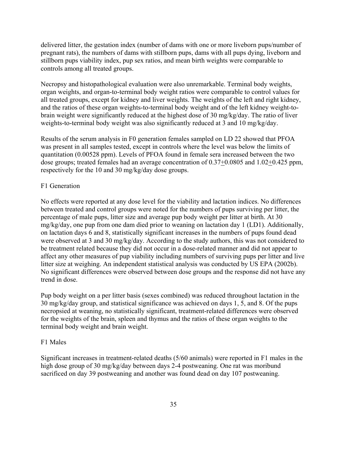delivered litter, the gestation index (number of dams with one or more liveborn pups/number of pregnant rats), the numbers of dams with stillborn pups, dams with all pups dying, liveborn and stillborn pups viability index, pup sex ratios, and mean birth weights were comparable to controls among all treated groups.

Necropsy and histopathological evaluation were also unremarkable. Terminal body weights, organ weights, and organ-to-terminal body weight ratios were comparable to control values for all treated groups, except for kidney and liver weights. The weights of the left and right kidney, and the ratios of these organ weights-to-terminal body weight and of the left kidney weight-tobrain weight were significantly reduced at the highest dose of 30 mg/kg/day. The ratio of liver weights-to-terminal body weight was also significantly reduced at 3 and 10 mg/kg/day.

Results of the serum analysis in F0 generation females sampled on LD 22 showed that PFOA was present in all samples tested, except in controls where the level was below the limits of quantitation (0.00528 ppm). Levels of PFOA found in female sera increased between the two dose groups; treated females had an average concentration of 0.37+0.0805 and 1.02+0.425 ppm, respectively for the 10 and 30 mg/kg/day dose groups.

# F1 Generation

No effects were reported at any dose level for the viability and lactation indices. No differences between treated and control groups were noted for the numbers of pups surviving per litter, the percentage of male pups, litter size and average pup body weight per litter at birth. At 30 mg/kg/day, one pup from one dam died prior to weaning on lactation day 1 (LD1). Additionally, on lactation days 6 and 8, statistically significant increases in the numbers of pups found dead were observed at 3 and 30 mg/kg/day. According to the study authors, this was not considered to be treatment related because they did not occur in a dose-related manner and did not appear to affect any other measures of pup viability including numbers of surviving pups per litter and live litter size at weighing. An independent statistical analysis was conducted by US EPA (2002b). No significant differences were observed between dose groups and the response did not have any trend in dose.

Pup body weight on a per litter basis (sexes combined) was reduced throughout lactation in the 30 mg/kg/day group, and statistical significance was achieved on days 1, 5, and 8. Of the pups necropsied at weaning, no statistically significant, treatment-related differences were observed for the weights of the brain, spleen and thymus and the ratios of these organ weights to the terminal body weight and brain weight.

#### F1 Males

Significant increases in treatment-related deaths (5/60 animals) were reported in F1 males in the high dose group of 30 mg/kg/day between days 2-4 postweaning. One rat was moribund sacrificed on day 39 postweaning and another was found dead on day 107 postweaning.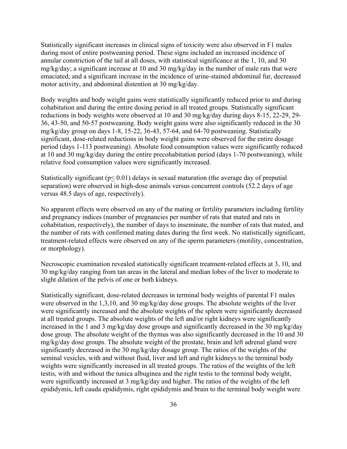Statistically significant increases in clinical signs of toxicity were also observed in F1 males during most of entire postweaning period. These signs included an increased incidence of annular constriction of the tail at all doses, with statistical significance at the 1, 10, and 30 mg/kg/day; a significant increase at 10 and 30 mg/kg/day in the number of male rats that were emaciated; and a significant increase in the incidence of urine-stained abdominal fur, decreased motor activity, and abdominal distention at 30 mg/kg/day.

Body weights and body weight gains were statistically significantly reduced prior to and during cohabitation and during the entire dosing period in all treated groups. Statistically significant reductions in body weights were observed at 10 and 30 mg/kg/day during days 8-15, 22-29, 29- 36, 43-50, and 50-57 postweaning. Body weight gains were also significantly reduced in the 30 mg/kg/day group on days 1-8, 15-22, 36-43, 57-64, and 64-70 postweaning. Statistically significant, dose-related reductions in body weight gains were observed for the entire dosage period (days 1-113 postweaning). Absolute food consumption values were significantly reduced at 10 and 30 mg/kg/day during the entire precohabitation period (days 1-70 postweaning), while relative food consumption values were significantly increased.

Statistically significant ( $p < 0.01$ ) delays in sexual maturation (the average day of preputial separation) were observed in high-dose animals versus concurrent controls (52.2 days of age versus 48.5 days of age, respectively).

No apparent effects were observed on any of the mating or fertility parameters including fertility and pregnancy indices (number of pregnancies per number of rats that mated and rats in cohabitation, respectively), the number of days to inseminate, the number of rats that mated, and the number of rats with confirmed mating dates during the first week. No statistically significant, treatment-related effects were observed on any of the sperm parameters (motility, concentration, or morphology).

Necroscopic examination revealed statistically significant treatment-related effects at 3, 10, and 30 mg/kg/day ranging from tan areas in the lateral and median lobes of the liver to moderate to slight dilation of the pelvis of one or both kidneys.

Statistically significant, dose-related decreases in terminal body weights of parental F1 males were observed in the 1,3,10, and 30 mg/kg/day dose groups. The absolute weights of the liver were significantly increased and the absolute weights of the spleen were significantly decreased at all treated groups. The absolute weights of the left and/or right kidneys were significantly increased in the 1 and 3 mg/kg/day dose groups and significantly decreased in the 30 mg/kg/day dose group. The absolute weight of the thymus was also significantly decreased in the 10 and 30 mg/kg/day dose groups. The absolute weight of the prostate, brain and left adrenal gland were significantly decreased in the 30 mg/kg/day dosage group. The ratios of the weights of the seminal vesicles, with and without fluid, liver and left and right kidneys to the terminal body weights were significantly increased in all treated groups. The ratios of the weights of the left testis, with and without the tunica albuginea and the right testis to the terminal body weight, were significantly increased at 3 mg/kg/day and higher. The ratios of the weights of the left epididymis, left cauda epididymis, right epididymis and brain to the terminal body weight were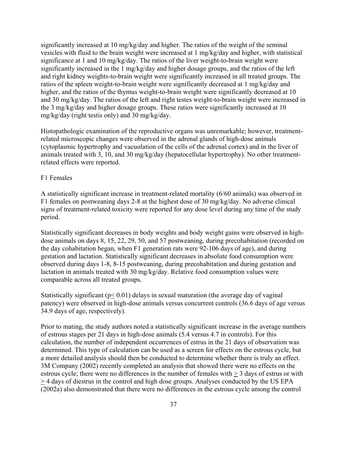significantly increased at 10 mg/kg/day and higher. The ratios of the weight of the seminal vesicles with fluid to the brain weight were increased at 1 mg/kg/day and higher, with statistical significance at 1 and 10 mg/kg/day. The ratios of the liver weight-to-brain weight were significantly increased in the 1 mg/kg/day and higher dosage groups, and the ratios of the left and right kidney weights-to-brain weight were significantly increased in all treated groups. The ratios of the spleen weight-to-brain weight were significantly decreased at 1 mg/kg/day and higher, and the ratios of the thymus weight-to-brain weight were significantly decreased at 10 and 30 mg/kg/day. The ratios of the left and right testes weight-to-brain weight were increased in the 3 mg/kg/day and higher dosage groups. These ratios were significantly increased at 10 mg/kg/day (right testis only) and 30 mg/kg/day.

Histopathologic examination of the reproductive organs was unremarkable; however, treatmentrelated microscopic changes were observed in the adrenal glands of high-dose animals (cytoplasmic hypertrophy and vacuolation of the cells of the adrenal cortex) and in the liver of animals treated with 3, 10, and 30 mg/kg/day (hepatocellular hypertrophy). No other treatmentrelated effects were reported.

#### F1 Females

A statistically significant increase in treatment-related mortality (6/60 animals) was observed in F1 females on postweaning days 2-8 at the highest dose of 30 mg/kg/day. No adverse clinical signs of treatment-related toxicity were reported for any dose level during any time of the study period.

Statistically significant decreases in body weights and body weight gains were observed in highdose animals on days 8, 15, 22, 29, 50, and 57 postweaning, during precohabitation (recorded on the day cohabitation began, when F1 generation rats were 92-106 days of age), and during gestation and lactation. Statistically significant decreases in absolute food consumption were observed during days 1-8, 8-15 postweaning, during precohabitation and during gestation and lactation in animals treated with 30 mg/kg/day. Relative food consumption values were comparable across all treated groups.

Statistically significant ( $p < 0.01$ ) delays in sexual maturation (the average day of vaginal patency) were observed in high-dose animals versus concurrent controls (36.6 days of age versus 34.9 days of age, respectively).

Prior to mating, the study authors noted a statistically significant increase in the average numbers of estrous stages per 21 days in high-dose animals (5.4 versus 4.7 in controls). For this calculation, the number of independent occurrences of estrus in the 21 days of observation was determined. This type of calculation can be used as a screen for effects on the estrous cycle, but a more detailed analysis should then be conducted to determine whether there is truly an effect. 3M Company (2002) recently completed an analysis that showed there were no effects on the estrous cycle; there were no differences in the number of females with > 3 days of estrus or with > 4 days of diestrus in the control and high dose groups. Analyses conducted by the US EPA (2002a) also demonstrated that there were no differences in the estrous cycle among the control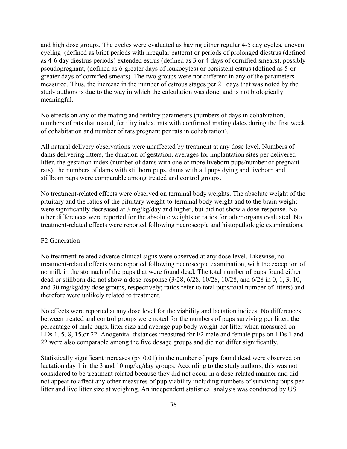and high dose groups. The cycles were evaluated as having either regular 4-5 day cycles, uneven cycling (defined as brief periods with irregular pattern) or periods of prolonged diestrus (defined as 4-6 day diestrus periods) extended estrus (defined as 3 or 4 days of cornified smears), possibly pseudopregnant, (defined as 6-greater days of leukocytes) or persistent estrus (defined as 5-or greater days of cornified smears). The two groups were not different in any of the parameters measured. Thus, the increase in the number of estrous stages per 21 days that was noted by the study authors is due to the way in which the calculation was done, and is not biologically meaningful.

No effects on any of the mating and fertility parameters (numbers of days in cohabitation, numbers of rats that mated, fertility index, rats with confirmed mating dates during the first week of cohabitation and number of rats pregnant per rats in cohabitation).

All natural delivery observations were unaffected by treatment at any dose level. Numbers of dams delivering litters, the duration of gestation, averages for implantation sites per delivered litter, the gestation index (number of dams with one or more liveborn pups/number of pregnant rats), the numbers of dams with stillborn pups, dams with all pups dying and liveborn and stillborn pups were comparable among treated and control groups.

No treatment-related effects were observed on terminal body weights. The absolute weight of the pituitary and the ratios of the pituitary weight-to-terminal body weight and to the brain weight were significantly decreased at 3 mg/kg/day and higher, but did not show a dose-response. No other differences were reported for the absolute weights or ratios for other organs evaluated. No treatment-related effects were reported following necroscopic and histopathologic examinations.

#### F2 Generation

No treatment-related adverse clinical signs were observed at any dose level. Likewise, no treatment-related effects were reported following necroscopic examination, with the exception of no milk in the stomach of the pups that were found dead. The total number of pups found either dead or stillborn did not show a dose-response (3/28, 6/28, 10/28, 10/28, and 6/28 in 0, 1, 3, 10, and 30 mg/kg/day dose groups, respectively; ratios refer to total pups/total number of litters) and therefore were unlikely related to treatment.

No effects were reported at any dose level for the viability and lactation indices. No differences between treated and control groups were noted for the numbers of pups surviving per litter, the percentage of male pups, litter size and average pup body weight per litter when measured on LDs 1, 5, 8, 15, or 22. Anogenital distances measured for F2 male and female pups on LDs 1 and 22 were also comparable among the five dosage groups and did not differ significantly.

Statistically significant increases ( $p \le 0.01$ ) in the number of pups found dead were observed on lactation day 1 in the 3 and 10 mg/kg/day groups. According to the study authors, this was not considered to be treatment related because they did not occur in a dose-related manner and did not appear to affect any other measures of pup viability including numbers of surviving pups per litter and live litter size at weighing. An independent statistical analysis was conducted by US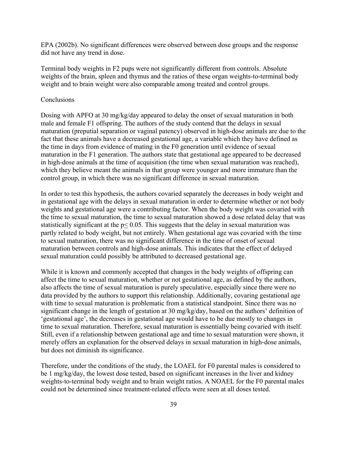EPA (2002b). No significant differences were observed between dose groups and the response did not have any trend in dose.

Terminal body weights in F2 pups were not significantly different from controls. Absolute weights of the brain, spleen and thymus and the ratios of these organ weights-to-terminal body weight and to brain weight were also comparable among treated and control groups.

#### **Conclusions**

Dosing with APFO at 30 mg/kg/day appeared to delay the onset of sexual maturation in both male and female F1 offspring. The authors of the study contend that the delays in sexual maturation (preputial separation or vaginal patency) observed in high-dose animals are due to the fact that these animals have a decreased gestational age, a variable which they have defined as the time in days from evidence of mating in the F0 generation until evidence of sexual maturation in the F1 generation. The authors state that gestational age appeared to be decreased in high-dose animals at the time of acquisition (the time when sexual maturation was reached), which they believe meant the animals in that group were younger and more immature than the control group, in which there was no significant difference in sexual maturation.

In order to test this hypothesis, the authors covaried separately the decreases in body weight and in gestational age with the delays in sexual maturation in order to determine whether or not body weights and gestational age were a contributing factor. When the body weight was covaried with the time to sexual maturation, the time to sexual maturation showed a dose related delay that was statistically significant at the p< 0.05. This suggests that the delay in sexual maturation was partly related to body weight, but not entirely. When gestational age was covaried with the time to sexual maturation, there was no significant difference in the time of onset of sexual maturation between controls and high-dose animals. This indicates that the effect of delayed sexual maturation could possibly be attributed to decreased gestational age.

While it is known and commonly accepted that changes in the body weights of offspring can affect the time to sexual maturation, whether or not gestational age, as defined by the authors, also affects the time of sexual maturation is purely speculative, especially since there were no data provided by the authors to support this relationship. Additionally, covaring gestational age with time to sexual maturation is problematic from a statistical standpoint. Since there was no significant change in the length of gestation at 30 mg/kg/day, based on the authors' definition of 'gestational age', the decreases in gestational age would have to be due mostly to changes in time to sexual maturation. Therefore, sexual maturation is essentially being covaried with itself. Still, even if a relationship between gestational age and time to sexual maturation were shown, it merely offers an explanation for the observed delays in sexual maturation in high-dose animals, but does not diminish its significance.

Therefore, under the conditions of the study, the LOAEL for F0 parental males is considered to be 1 mg/kg/day, the lowest dose tested, based on significant increases in the liver and kidney weights-to-terminal body weight and to brain weight ratios. A NOAEL for the F0 parental males could not be determined since treatment-related effects were seen at all doses tested.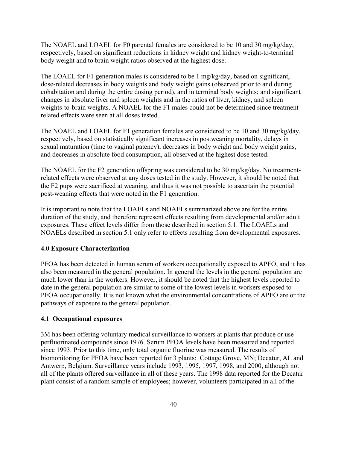The NOAEL and LOAEL for F0 parental females are considered to be 10 and 30 mg/kg/day, respectively, based on significant reductions in kidney weight and kidney weight-to-terminal body weight and to brain weight ratios observed at the highest dose.

The LOAEL for F1 generation males is considered to be 1 mg/kg/day, based on significant, dose-related decreases in body weights and body weight gains (observed prior to and during cohabitation and during the entire dosing period), and in terminal body weights; and significant changes in absolute liver and spleen weights and in the ratios of liver, kidney, and spleen weights-to-brain weights. A NOAEL for the F1 males could not be determined since treatmentrelated effects were seen at all doses tested.

The NOAEL and LOAEL for F1 generation females are considered to be 10 and 30 mg/kg/day, respectively, based on statistically significant increases in postweaning mortality, delays in sexual maturation (time to vaginal patency), decreases in body weight and body weight gains, and decreases in absolute food consumption, all observed at the highest dose tested.

The NOAEL for the F2 generation offspring was considered to be 30 mg/kg/day. No treatmentrelated effects were observed at any doses tested in the study. However, it should be noted that the F2 pups were sacrificed at weaning, and thus it was not possible to ascertain the potential post-weaning effects that were noted in the F1 generation.

It is important to note that the LOAELs and NOAELs summarized above are for the entire duration of the study, and therefore represent effects resulting from developmental and/or adult exposures. These effect levels differ from those described in section 5.1. The LOAELs and NOAELs described in section 5.1 only refer to effects resulting from developmental exposures.

# **4.0 Exposure Characterization**

PFOA has been detected in human serum of workers occupationally exposed to APFO, and it has also been measured in the general population. In general the levels in the general population are much lower than in the workers. However, it should be noted that the highest levels reported to date in the general population are similar to some of the lowest levels in workers exposed to PFOA occupationally. It is not known what the environmental concentrations of APFO are or the pathways of exposure to the general population.

# **4.1 Occupational exposures**

3M has been offering voluntary medical surveillance to workers at plants that produce or use perfluorinated compounds since 1976. Serum PFOA levels have been measured and reported since 1993. Prior to this time, only total organic fluorine was measured. The results of biomonitoring for PFOA have been reported for 3 plants: Cottage Grove, MN; Decatur, AL and Antwerp, Belgium. Surveillance years include 1993, 1995, 1997, 1998, and 2000, although not all of the plants offered surveillance in all of these years. The 1998 data reported for the Decatur plant consist of a random sample of employees; however, volunteers participated in all of the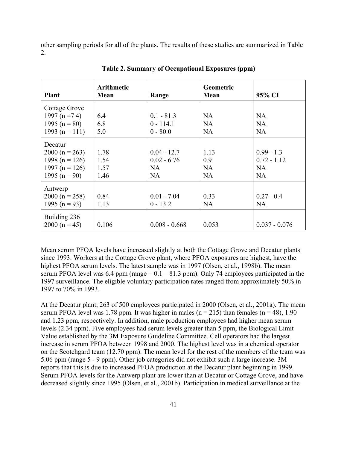other sampling periods for all of the plants. The results of these studies are summarized in Table  $2<sup>2</sup>$ 

| <b>Plant</b>                                                                            | <b>Arithmetic</b><br>Mean    | Range                                      | Geometric<br>Mean                     | 95% CI                                                  |
|-----------------------------------------------------------------------------------------|------------------------------|--------------------------------------------|---------------------------------------|---------------------------------------------------------|
| Cottage Grove<br>1997 (n = $74$ )<br>1995 ( $n = 80$ )<br>1993 (n = 111)                | 6.4<br>6.8<br>5.0            | $0.1 - 81.3$<br>$0 - 114.1$<br>$0 - 80.0$  | <b>NA</b><br><b>NA</b><br><b>NA</b>   | NA<br>NA<br><b>NA</b>                                   |
| Decatur<br>$2000(n = 263)$<br>1998 (n = 126)<br>1997 ( $n = 126$ )<br>1995 ( $n = 90$ ) | 1.78<br>1.54<br>1.57<br>1.46 | $0.04 - 12.7$<br>$0.02 - 6.76$<br>NA<br>NA | 1.13<br>0.9<br><b>NA</b><br><b>NA</b> | $0.99 - 1.3$<br>$0.72 - 1.12$<br><b>NA</b><br><b>NA</b> |
| Antwerp<br>$2000(n = 258)$<br>1995 (n = 93)                                             | 0.84<br>1.13                 | $0.01 - 7.04$<br>$0 - 13.2$                | 0.33<br><b>NA</b>                     | $0.27 - 0.4$<br>NA                                      |
| Building 236<br>$2000(n = 45)$                                                          | 0.106                        | $0.008 - 0.668$                            | 0.053                                 | $0.037 - 0.076$                                         |

**Table 2. Summary of Occupational Exposures (ppm)** 

Mean serum PFOA levels have increased slightly at both the Cottage Grove and Decatur plants since 1993. Workers at the Cottage Grove plant, where PFOA exposures are highest, have the highest PFOA serum levels. The latest sample was in 1997 (Olsen, et al., 1998b). The mean serum PFOA level was  $6.4$  ppm (range =  $0.1 - 81.3$  ppm). Only 74 employees participated in the 1997 surveillance. The eligible voluntary participation rates ranged from approximately 50% in 1997 to 70% in 1993.

At the Decatur plant, 263 of 500 employees participated in 2000 (Olsen, et al., 2001a). The mean serum PFOA level was 1.78 ppm. It was higher in males ( $n = 215$ ) than females ( $n = 48$ ), 1.90 and 1.23 ppm, respectively. In addition, male production employees had higher mean serum levels (2.34 ppm). Five employees had serum levels greater than 5 ppm, the Biological Limit Value established by the 3M Exposure Guideline Committee. Cell operators had the largest increase in serum PFOA between 1998 and 2000. The highest level was in a chemical operator on the Scotchgard team (12.70 ppm). The mean level for the rest of the members of the team was 5.06 ppm (range 5 - 9 ppm). Other job categories did not exhibit such a large increase. 3M reports that this is due to increased PFOA production at the Decatur plant beginning in 1999. Serum PFOA levels for the Antwerp plant are lower than at Decatur or Cottage Grove, and have decreased slightly since 1995 (Olsen, et al., 2001b). Participation in medical surveillance at the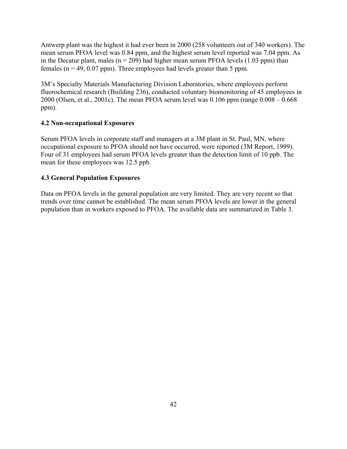Antwerp plant was the highest it had ever been in 2000 (258 volunteers out of 340 workers). The mean serum PFOA level was 0.84 ppm, and the highest serum level reported was 7.04 ppm. As in the Decatur plant, males ( $n = 209$ ) had higher mean serum PFOA levels (1.03 ppm) than females ( $n = 49$ , 0.07 ppm). Three employees had levels greater than 5 ppm.

3M's Specialty Materials Manufacturing Division Laboratories, where employees perform fluorochemical research (Building 236), conducted voluntary biomonitoring of 45 employees in 2000 (Olsen, et al., 2001c). The mean PFOA serum level was 0.106 ppm (range 0.008 – 0.668 ppm).

# **4.2 Non-occupational Exposures**

Serum PFOA levels in corporate staff and managers at a 3M plant in St. Paul, MN, where occupational exposure to PFOA should not have occurred, were reported (3M Report, 1999). Four of 31 employees had serum PFOA levels greater than the detection limit of 10 ppb. The mean for these employees was 12.5 ppb.

# **4.3 General Population Exposures**

Data on PFOA levels in the general population are very limited. They are very recent so that trends over time cannot be established. The mean serum PFOA levels are lower in the general population than in workers exposed to PFOA. The available data are summarized in Table 3.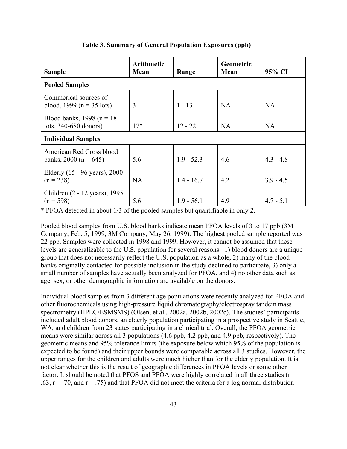| <b>Sample</b>                                             | <b>Arithmetic</b><br>Mean | Range        | <b>Geometric</b><br>Mean | 95% CI      |
|-----------------------------------------------------------|---------------------------|--------------|--------------------------|-------------|
| <b>Pooled Samples</b>                                     |                           |              |                          |             |
| Commerical sources of<br>blood, 1999 ( $n = 35$ lots)     | 3                         | $1 - 13$     | <b>NA</b>                | <b>NA</b>   |
| Blood banks, 1998 ( $n = 18$ )<br>lots, $340-680$ donors) | $17*$                     | $12 - 22$    | <b>NA</b>                | <b>NA</b>   |
| <b>Individual Samples</b>                                 |                           |              |                          |             |
| American Red Cross blood<br>banks, 2000 (n = 645)         | 5.6                       | $1.9 - 52.3$ | 4.6                      | $4.3 - 4.8$ |
| Elderly (65 - 96 years), 2000<br>$(n = 238)$              | <b>NA</b>                 | $1.4 - 16.7$ | 4.2                      | $3.9 - 4.5$ |
| Children (2 - 12 years), 1995<br>$(n = 598)$              | 5.6                       | $1.9 - 56.1$ | 4.9                      | $4.7 - 5.1$ |

# **Table 3. Summary of General Population Exposures (ppb)**

\* PFOA detected in about 1/3 of the pooled samples but quantifiable in only 2.

Pooled blood samples from U.S. blood banks indicate mean PFOA levels of 3 to 17 ppb (3M Company, Feb. 5, 1999; 3M Company, May 26, 1999). The highest pooled sample reported was 22 ppb. Samples were collected in 1998 and 1999. However, it cannot be assumed that these levels are generalizable to the U.S. population for several reasons: 1) blood donors are a unique group that does not necessarily reflect the U.S. population as a whole, 2) many of the blood banks originally contacted for possible inclusion in the study declined to participate, 3) only a small number of samples have actually been analyzed for PFOA, and 4) no other data such as age, sex, or other demographic information are available on the donors.

Individual blood samples from 3 different age populations were recently analyzed for PFOA and other fluorochemicals using high-pressure liquid chromatography/electrospray tandem mass spectrometry (HPLC/ESMSMS) (Olsen, et al., 2002a, 2002b, 2002c). The studies' participants included adult blood donors, an elderly population participating in a prospective study in Seattle, WA, and children from 23 states participating in a clinical trial. Overall, the PFOA geometric means were similar across all 3 populations (4.6 ppb, 4.2 ppb, and 4.9 ppb, respectively). The geometric means and 95% tolerance limits (the exposure below which 95% of the population is expected to be found) and their upper bounds were comparable across all 3 studies. However, the upper ranges for the children and adults were much higher than for the elderly population. It is not clear whether this is the result of geographic differences in PFOA levels or some other factor. It should be noted that PFOS and PFOA were highly correlated in all three studies ( $r =$  $.63$ ,  $r = .70$ , and  $r = .75$ ) and that PFOA did not meet the criteria for a log normal distribution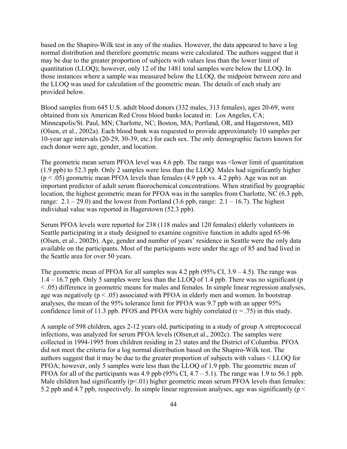based on the Shapiro-Wilk test in any of the studies. However, the data appeared to have a log normal distribution and therefore geometric means were calculated. The authors suggest that it may be due to the greater proportion of subjects with values less than the lower limit of quantitation (LLOQ); however, only 12 of the 1481 total samples were below the LLOQ. In those instances where a sample was measured below the LLOQ, the midpoint between zero and the LLOQ was used for calculation of the geometric mean. The details of each study are provided below.

Blood samples from 645 U.S. adult blood donors (332 males, 313 females), ages 20-69, were obtained from six American Red Cross blood banks located in: Los Angeles, CA; Minneapolis/St. Paul, MN; Charlotte, NC; Boston, MA; Portland, OR, and Hagerstown, MD (Olsen, et al., 2002a). Each blood bank was requested to provide approximately 10 samples per 10-year age intervals (20-29, 30-39, etc.) for each sex. The only demographic factors known for each donor were age, gender, and location.

The geometric mean serum PFOA level was 4.6 ppb. The range was <lower limit of quantitation (1.9 ppb) to 52.3 ppb. Only 2 samples were less than the LLOQ. Males had significantly higher  $(p < .05)$  geometric mean PFOA levels than females (4.9 ppb vs. 4.2 ppb). Age was not an important predictor of adult serum fluorochemical concentrations. When stratified by geographic location, the highest geometric mean for PFOA was in the samples from Charlotte, NC (6.3 ppb, range:  $2.1 - 29.0$ ) and the lowest from Portland  $(3.6 \text{ pb}$ , range:  $2.1 - 16.7$ ). The highest individual value was reported in Hagerstown (52.3 ppb).

Serum PFOA levels were reported for 238 (118 males and 120 females) elderly volunteers in Seattle participating in a study designed to examine cognitive function in adults aged 65-96 (Olsen, et al., 2002b). Age, gender and number of years' residence in Seattle were the only data available on the participants. Most of the participants were under the age of 85 and had lived in the Seattle area for over 50 years.

The geometric mean of PFOA for all samples was 4.2 ppb (95% CI, 3.9 – 4.5). The range was 1.4 – 16.7 ppb. Only 5 samples were less than the LLOQ of 1.4 ppb. There was no significant (p  $\leq$  .05) difference in geometric means for males and females. In simple linear regression analyses, age was negatively ( $p < .05$ ) associated with PFOA in elderly men and women. In bootstrap analyses, the mean of the 95% tolerance limit for PFOA was 9.7 ppb with an upper 95% confidence limit of 11.3 ppb. PFOS and PFOA were highly correlated  $(r = .75)$  in this study.

A sample of 598 children, ages 2-12 years old, participating in a study of group A streptococcal infections, was analyzed for serum PFOA levels (Olsen,et al., 2002c). The samples were collected in 1994-1995 from children residing in 23 states and the District of Columbia. PFOA did not meet the criteria for a log normal distribution based on the Shapiro-Wilk test. The authors suggest that it may be due to the greater proportion of subjects with values < LLOQ for PFOA; however, only 5 samples were less than the LLOQ of 1.9 ppb. The geometric mean of PFOA for all of the participants was 4.9 ppb (95% CI,  $4.7 - 5.1$ ). The range was 1.9 to 56.1 ppb. Male children had significantly  $(p<01)$  higher geometric mean serum PFOA levels than females: 5.2 ppb and 4.7 ppb, respectively. In simple linear regression analyses, age was significantly ( $p <$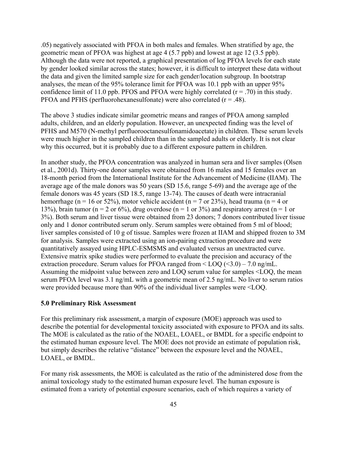.05) negatively associated with PFOA in both males and females. When stratified by age, the geometric mean of PFOA was highest at age 4 (5.7 ppb) and lowest at age 12 (3.5 ppb). Although the data were not reported, a graphical presentation of log PFOA levels for each state by gender looked similar across the states; however, it is difficult to interpret these data without the data and given the limited sample size for each gender/location subgroup. In bootstrap analyses, the mean of the 95% tolerance limit for PFOA was 10.1 ppb with an upper 95% confidence limit of 11.0 ppb. PFOS and PFOA were highly correlated  $(r = .70)$  in this study. PFOA and PFHS (perfluorohexanesulfonate) were also correlated  $(r = .48)$ .

The above 3 studies indicate similar geometric means and ranges of PFOA among sampled adults, children, and an elderly population. However, an unexpected finding was the level of PFHS and M570 (N-methyl perfluorooctanesulfonamidoacetate) in children. These serum levels were much higher in the sampled children than in the sampled adults or elderly. It is not clear why this occurred, but it is probably due to a different exposure pattern in children.

In another study, the PFOA concentration was analyzed in human sera and liver samples (Olsen et al., 2001d). Thirty-one donor samples were obtained from 16 males and 15 females over an 18-month period from the International Institute for the Advancement of Medicine (IIAM). The average age of the male donors was 50 years (SD 15.6, range 5-69) and the average age of the female donors was 45 years (SD 18.5, range 13-74). The causes of death were intracranial hemorrhage (n = 16 or 52%), motor vehicle accident (n = 7 or 23%), head trauma (n = 4 or 13%), brain tumor (n = 2 or 6%), drug overdose (n = 1 or 3%) and respiratory arrest (n = 1 or 3%). Both serum and liver tissue were obtained from 23 donors; 7 donors contributed liver tissue only and 1 donor contributed serum only. Serum samples were obtained from 5 ml of blood; liver samples consisted of 10 g of tissue. Samples were frozen at IIAM and shipped frozen to 3M for analysis. Samples were extracted using an ion-pairing extraction procedure and were quantitatively assayed using HPLC-ESMSMS and evaluated versus an unextracted curve. Extensive matrix spike studies were performed to evaluate the precision and accuracy of the extraction procedure. Serum values for PFOA ranged from  $\leq$  LOQ ( $\leq$ 3.0) – 7.0 ng/mL. Assuming the midpoint value between zero and LOQ serum value for samples <LOQ, the mean serum PFOA level was 3.1 ng/mL with a geometric mean of 2.5 ng/mL. No liver to serum ratios were provided because more than 90% of the individual liver samples were <LOQ.

#### **5.0 Preliminary Risk Assessment**

For this preliminary risk assessment, a margin of exposure (MOE) approach was used to describe the potential for developmental toxicity associated with exposure to PFOA and its salts. The MOE is calculated as the ratio of the NOAEL, LOAEL, or BMDL for a specific endpoint to the estimated human exposure level. The MOE does not provide an estimate of population risk, but simply describes the relative "distance" between the exposure level and the NOAEL, LOAEL, or BMDL.

For many risk assessments, the MOE is calculated as the ratio of the administered dose from the animal toxicology study to the estimated human exposure level. The human exposure is estimated from a variety of potential exposure scenarios, each of which requires a variety of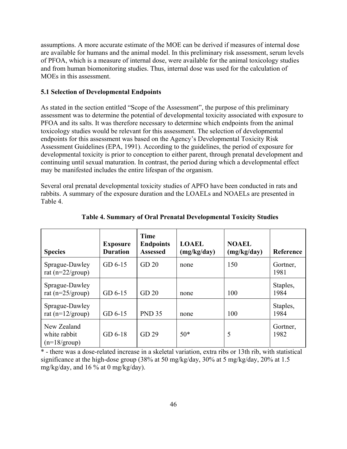assumptions. A more accurate estimate of the MOE can be derived if measures of internal dose are available for humans and the animal model. In this preliminary risk assessment, serum levels of PFOA, which is a measure of internal dose, were available for the animal toxicology studies and from human biomonitoring studies. Thus, internal dose was used for the calculation of MOEs in this assessment.

# **5.1 Selection of Developmental Endpoints**

As stated in the section entitled "Scope of the Assessment", the purpose of this preliminary assessment was to determine the potential of developmental toxicity associated with exposure to PFOA and its salts. It was therefore necessary to determine which endpoints from the animal toxicology studies would be relevant for this assessment. The selection of developmental endpoints for this assessment was based on the Agency's Developmental Toxicity Risk Assessment Guidelines (EPA, 1991). According to the guidelines, the period of exposure for developmental toxicity is prior to conception to either parent, through prenatal development and continuing until sexual maturation. In contrast, the period during which a developmental effect may be manifested includes the entire lifespan of the organism.

Several oral prenatal developmental toxicity studies of APFO have been conducted in rats and rabbits. A summary of the exposure duration and the LOAELs and NOAELs are presented in Table 4.

| <b>Species</b>                                        | <b>Exposure</b><br><b>Duration</b> | Time<br><b>Endpoints</b><br><b>Assessed</b> | <b>LOAEL</b><br>(mg/kg/day) | <b>NOAEL</b><br>(mg/kg/day) | Reference        |
|-------------------------------------------------------|------------------------------------|---------------------------------------------|-----------------------------|-----------------------------|------------------|
| Sprague-Dawley<br>rat ( $n=22/$ group)                | $GD6-15$                           | GD <sub>20</sub>                            | none                        | 150                         | Gortner,<br>1981 |
| Sprague-Dawley<br>rat ( $n=25/$ group)                | $GD 6-15$                          | GD <sub>20</sub>                            | none                        | 100                         | Staples,<br>1984 |
| Sprague-Dawley<br>rat ( $n=12/group$ )                | $GD 6-15$                          | <b>PND 35</b>                               | none                        | 100                         | Staples,<br>1984 |
| New Zealand<br>white rabbit<br>$(n=18/ \text{group})$ | $GD6-18$                           | GD 29                                       | $50*$                       | 5                           | Gortner,<br>1982 |

# **Table 4. Summary of Oral Prenatal Developmental Toxicity Studies**

\* - there was a dose-related increase in a skeletal variation, extra ribs or 13th rib, with statistical significance at the high-dose group (38% at 50 mg/kg/day, 30% at 5 mg/kg/day, 20% at 1.5 mg/kg/day, and 16 % at 0 mg/kg/day).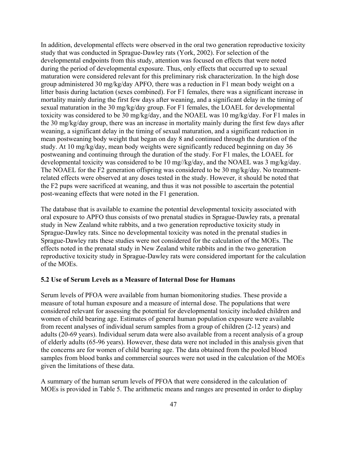In addition, developmental effects were observed in the oral two generation reproductive toxicity study that was conducted in Sprague-Dawley rats (York, 2002). For selection of the developmental endpoints from this study, attention was focused on effects that were noted during the period of developmental exposure. Thus, only effects that occurred up to sexual maturation were considered relevant for this preliminary risk characterization. In the high dose group administered 30 mg/kg/day APFO, there was a reduction in F1 mean body weight on a litter basis during lactation (sexes combined). For F1 females, there was a significant increase in mortality mainly during the first few days after weaning, and a significant delay in the timing of sexual maturation in the 30 mg/kg/day group. For F1 females, the LOAEL for developmental toxicity was considered to be 30 mg/kg/day, and the NOAEL was 10 mg/kg/day. For F1 males in the 30 mg/kg/day group, there was an increase in mortality mainly during the first few days after weaning, a significant delay in the timing of sexual maturation, and a significant reduction in mean postweaning body weight that began on day 8 and continued through the duration of the study. At 10 mg/kg/day, mean body weights were significantly reduced beginning on day 36 postweaning and continuing through the duration of the study. For F1 males, the LOAEL for developmental toxicity was considered to be 10 mg//kg/day, and the NOAEL was 3 mg/kg/day. The NOAEL for the F2 generation offspring was considered to be 30 mg/kg/day. No treatmentrelated effects were observed at any doses tested in the study. However, it should be noted that the F2 pups were sacrificed at weaning, and thus it was not possible to ascertain the potential post-weaning effects that were noted in the F1 generation.

The database that is available to examine the potential developmental toxicity associated with oral exposure to APFO thus consists of two prenatal studies in Sprague-Dawley rats, a prenatal study in New Zealand white rabbits, and a two generation reproductive toxicity study in Sprague-Dawley rats. Since no developmental toxicity was noted in the prenatal studies in Sprague-Dawley rats these studies were not considered for the calculation of the MOEs. The effects noted in the prenatal study in New Zealand white rabbits and in the two generation reproductive toxicity study in Sprague-Dawley rats were considered important for the calculation of the MOEs.

#### **5.2 Use of Serum Levels as a Measure of Internal Dose for Humans**

Serum levels of PFOA were available from human biomonitoring studies. These provide a measure of total human exposure and a measure of internal dose. The populations that were considered relevant for assessing the potential for developmental toxicity included children and women of child bearing age. Estimates of general human population exposure were available from recent analyses of individual serum samples from a group of children (2-12 years) and adults (20-69 years). Individual serum data were also available from a recent analysis of a group of elderly adults (65-96 years). However, these data were not included in this analysis given that the concerns are for women of child bearing age. The data obtained from the pooled blood samples from blood banks and commercial sources were not used in the calculation of the MOEs given the limitations of these data.

A summary of the human serum levels of PFOA that were considered in the calculation of MOEs is provided in Table 5. The arithmetic means and ranges are presented in order to display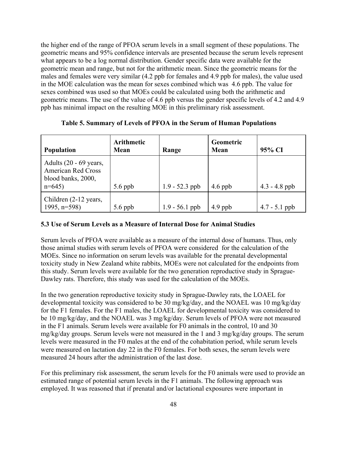the higher end of the range of PFOA serum levels in a small segment of these populations. The geometric means and 95% confidence intervals are presented because the serum levels represent what appears to be a log normal distribution. Gender specific data were available for the geometric mean and range, but not for the arithmetic mean. Since the geometric means for the males and females were very similar (4.2 ppb for females and 4.9 ppb for males), the value used in the MOE calculation was the mean for sexes combined which was 4.6 ppb. The value for sexes combined was used so that MOEs could be calculated using both the arithmetic and geometric means. The use of the value of 4.6 ppb versus the gender specific levels of 4.2 and 4.9 ppb has minimal impact on the resulting MOE in this preliminary risk assessment.

| <b>Population</b>                                                                      | <b>Arithmetic</b><br>Mean | Range            | Geometric<br>Mean | 95% CI          |
|----------------------------------------------------------------------------------------|---------------------------|------------------|-------------------|-----------------|
| Adults $(20 - 69$ years,<br><b>American Red Cross</b><br>blood banks, 2000,<br>$n=645$ | $5.6$ ppb                 | $1.9 - 52.3$ ppb | $4.6$ ppb         | $4.3 - 4.8$ ppb |
| Children (2-12 years,<br>1995, $n=598$                                                 | $5.6$ ppb                 | $1.9 - 56.1$ ppb | $4.9$ ppb         | $4.7 - 5.1$ ppb |

**Table 5. Summary of Levels of PFOA in the Serum of Human Populations** 

#### **5.3 Use of Serum Levels as a Measure of Internal Dose for Animal Studies**

Serum levels of PFOA were available as a measure of the internal dose of humans. Thus, only those animal studies with serum levels of PFOA were considered for the calculation of the MOEs. Since no information on serum levels was available for the prenatal developmental toxicity study in New Zealand white rabbits, MOEs were not calculated for the endpoints from this study. Serum levels were available for the two generation reproductive study in Sprague-Dawley rats. Therefore, this study was used for the calculation of the MOEs.

In the two generation reproductive toxicity study in Sprague-Dawley rats, the LOAEL for developmental toxicity was considered to be 30 mg/kg/day, and the NOAEL was 10 mg/kg/day for the F1 females. For the F1 males, the LOAEL for developmental toxicity was considered to be 10 mg/kg/day, and the NOAEL was 3 mg/kg/day. Serum levels of PFOA were not measured in the F1 animals. Serum levels were available for F0 animals in the control, 10 and 30 mg/kg/day groups. Serum levels were not measured in the 1 and 3 mg/kg/day groups. The serum levels were measured in the F0 males at the end of the cohabitation period, while serum levels were measured on lactation day 22 in the F0 females. For both sexes, the serum levels were measured 24 hours after the administration of the last dose.

For this preliminary risk assessment, the serum levels for the F0 animals were used to provide an estimated range of potential serum levels in the F1 animals. The following approach was employed. It was reasoned that if prenatal and/or lactational exposures were important in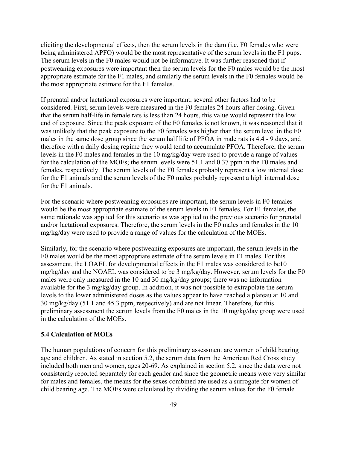eliciting the developmental effects, then the serum levels in the dam (i.e. F0 females who were being administered APFO) would be the most representative of the serum levels in the F1 pups. The serum levels in the F0 males would not be informative. It was further reasoned that if postweaning exposures were important then the serum levels for the F0 males would be the most appropriate estimate for the F1 males, and similarly the serum levels in the F0 females would be the most appropriate estimate for the F1 females.

If prenatal and/or lactational exposures were important, several other factors had to be considered. First, serum levels were measured in the F0 females 24 hours after dosing. Given that the serum half-life in female rats is less than 24 hours, this value would represent the low end of exposure. Since the peak exposure of the F0 females is not known, it was reasoned that it was unlikely that the peak exposure to the F0 females was higher than the serum level in the F0 males in the same dose group since the serum half life of PFOA in male rats is 4.4 - 9 days, and therefore with a daily dosing regime they would tend to accumulate PFOA. Therefore, the serum levels in the F0 males and females in the 10 mg/kg/day were used to provide a range of values for the calculation of the MOEs; the serum levels were 51.1 and 0.37 ppm in the F0 males and females, respectively. The serum levels of the F0 females probably represent a low internal dose for the F1 animals and the serum levels of the F0 males probably represent a high internal dose for the F1 animals.

For the scenario where postweaning exposures are important, the serum levels in F0 females would be the most appropriate estimate of the serum levels in F1 females. For F1 females, the same rationale was applied for this scenario as was applied to the previous scenario for prenatal and/or lactational exposures. Therefore, the serum levels in the F0 males and females in the 10 mg/kg/day were used to provide a range of values for the calculation of the MOEs.

Similarly, for the scenario where postweaning exposures are important, the serum levels in the F0 males would be the most appropriate estimate of the serum levels in F1 males. For this assessment, the LOAEL for developmental effects in the F1 males was considered to be10 mg/kg/day and the NOAEL was considered to be 3 mg/kg/day. However, serum levels for the F0 males were only measured in the 10 and 30 mg/kg/day groups; there was no information available for the 3 mg/kg/day group. In addition, it was not possible to extrapolate the serum levels to the lower administered doses as the values appear to have reached a plateau at 10 and 30 mg/kg/day (51.1 and 45.3 ppm, respectively) and are not linear. Therefore, for this preliminary assessment the serum levels from the F0 males in the 10 mg/kg/day group were used in the calculation of the MOEs.

#### **5.4 Calculation of MOEs**

The human populations of concern for this preliminary assessment are women of child bearing age and children. As stated in section 5.2, the serum data from the American Red Cross study included both men and women, ages 20-69. As explained in section 5.2, since the data were not consistently reported separately for each gender and since the geometric means were very similar for males and females, the means for the sexes combined are used as a surrogate for women of child bearing age. The MOEs were calculated by dividing the serum values for the F0 female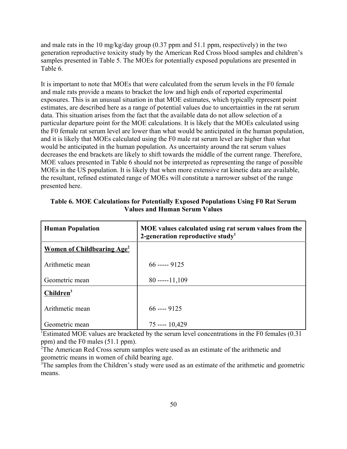and male rats in the 10 mg/kg/day group (0.37 ppm and 51.1 ppm, respectively) in the two generation reproductive toxicity study by the American Red Cross blood samples and children's samples presented in Table 5. The MOEs for potentially exposed populations are presented in Table 6.

It is important to note that MOEs that were calculated from the serum levels in the F0 female and male rats provide a means to bracket the low and high ends of reported experimental exposures. This is an unusual situation in that MOE estimates, which typically represent point estimates, are described here as a range of potential values due to uncertainties in the rat serum data. This situation arises from the fact that the available data do not allow selection of a particular departure point for the MOE calculations. It is likely that the MOEs calculated using the F0 female rat serum level are lower than what would be anticipated in the human population, and it is likely that MOEs calculated using the F0 male rat serum level are higher than what would be anticipated in the human population. As uncertainty around the rat serum values decreases the end brackets are likely to shift towards the middle of the current range. Therefore, MOE values presented in Table 6 should not be interpreted as representing the range of possible MOEs in the US population. It is likely that when more extensive rat kinetic data are available, the resultant, refined estimated range of MOEs will constitute a narrower subset of the range presented here.

| <b>Human Population</b>                      | MOE values calculated using rat serum values from the<br>2-generation reproductive study <sup>1</sup> |
|----------------------------------------------|-------------------------------------------------------------------------------------------------------|
| <b>Women of Childbearing Age<sup>2</sup></b> |                                                                                                       |
| Arithmetic mean                              | $66$ ----- 9125                                                                                       |
| Geometric mean                               | $80$ -----11,109                                                                                      |
| Children <sup>3</sup>                        |                                                                                                       |
| Arithmetic mean                              | $66$ ---- $9125$                                                                                      |
| Geometric mean                               | $75$ ---- $10,429$                                                                                    |

**Table 6. MOE Calculations for Potentially Exposed Populations Using F0 Rat Serum Values and Human Serum Values** 

<sup>1</sup>Estimated MOE values are bracketed by the serum level concentrations in the F0 females (0.31) ppm) and the F0 males (51.1 ppm).

<sup>2</sup>The American Red Cross serum samples were used as an estimate of the arithmetic and geometric means in women of child bearing age.

<sup>3</sup>The samples from the Children's study were used as an estimate of the arithmetic and geometric means.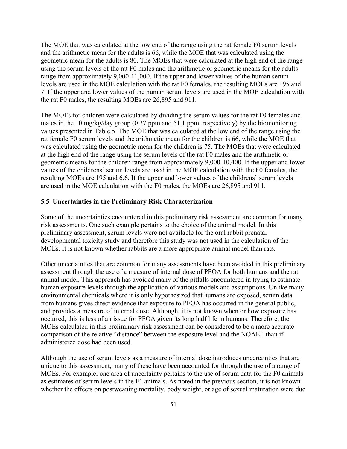The MOE that was calculated at the low end of the range using the rat female F0 serum levels and the arithmetic mean for the adults is 66, while the MOE that was calculated using the geometric mean for the adults is 80. The MOEs that were calculated at the high end of the range using the serum levels of the rat F0 males and the arithmetic or geometric means for the adults range from approximately 9,000-11,000. If the upper and lower values of the human serum levels are used in the MOE calculation with the rat F0 females, the resulting MOEs are 195 and 7. If the upper and lower values of the human serum levels are used in the MOE calculation with the rat F0 males, the resulting MOEs are 26,895 and 911.

The MOEs for children were calculated by dividing the serum values for the rat F0 females and males in the 10 mg/kg/day group (0.37 ppm and 51.1 ppm, respectively) by the biomonitoring values presented in Table 5. The MOE that was calculated at the low end of the range using the rat female F0 serum levels and the arithmetic mean for the children is 66, while the MOE that was calculated using the geometric mean for the children is 75. The MOEs that were calculated at the high end of the range using the serum levels of the rat F0 males and the arithmetic or geometric means for the children range from approximately 9,000-10,400. If the upper and lower values of the childrens' serum levels are used in the MOE calculation with the F0 females, the resulting MOEs are 195 and 6.6. If the upper and lower values of the childrens' serum levels are used in the MOE calculation with the F0 males, the MOEs are 26,895 and 911.

# **5.5 Uncertainties in the Preliminary Risk Characterization**

Some of the uncertainties encountered in this preliminary risk assessment are common for many risk assessments. One such example pertains to the choice of the animal model. In this preliminary assessment, serum levels were not available for the oral rabbit prenatal developmental toxicity study and therefore this study was not used in the calculation of the MOEs. It is not known whether rabbits are a more appropriate animal model than rats.

Other uncertainties that are common for many assessments have been avoided in this preliminary assessment through the use of a measure of internal dose of PFOA for both humans and the rat animal model. This approach has avoided many of the pitfalls encountered in trying to estimate human exposure levels through the application of various models and assumptions. Unlike many environmental chemicals where it is only hypothesized that humans are exposed, serum data from humans gives direct evidence that exposure to PFOA has occurred in the general public, and provides a measure of internal dose. Although, it is not known when or how exposure has occurred, this is less of an issue for PFOA given its long half life in humans. Therefore, the MOEs calculated in this preliminary risk assessment can be considered to be a more accurate comparison of the relative "distance" between the exposure level and the NOAEL than if administered dose had been used.

Although the use of serum levels as a measure of internal dose introduces uncertainties that are unique to this assessment, many of these have been accounted for through the use of a range of MOEs. For example, one area of uncertainty pertains to the use of serum data for the F0 animals as estimates of serum levels in the F1 animals. As noted in the previous section, it is not known whether the effects on postweaning mortality, body weight, or age of sexual maturation were due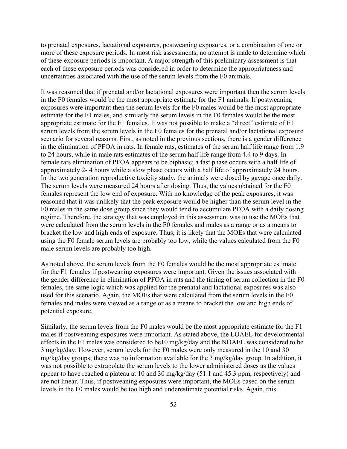to prenatal exposures, lactational exposures, postweaning exposures, or a combination of one or more of these exposure periods. In most risk assessments, no attempt is made to determine which of these exposure periods is important. A major strength of this preliminary assessment is that each of these exposure periods was considered in order to determine the appropriateness and uncertainties associated with the use of the serum levels from the F0 animals.

It was reasoned that if prenatal and/or lactational exposures were important then the serum levels in the F0 females would be the most appropriate estimate for the F1 animals. If postweaning exposures were important then the serum levels for the F0 males would be the most appropriate estimate for the F1 males, and similarly the serum levels in the F0 females would be the most appropriate estimate for the F1 females. It was not possible to make a "direct" estimate of F1 serum levels from the serum levels in the F0 females for the prenatal and/or lactational exposure scenario for several reasons. First, as noted in the previous sections, there is a gender difference in the elimination of PFOA in rats. In female rats, estimates of the serum half life range from 1.9 to 24 hours, while in male rats estimates of the serum half life range from 4.4 to 9 days. In female rats elimination of PFOA appears to be biphasic; a fast phase occurs with a half life of approximately 2- 4 hours while a slow phase occurs with a half life of approximately 24 hours. In the two generation reproductive toxicity study, the animals were dosed by gavage once daily. The serum levels were measured 24 hours after dosing. Thus, the values obtained for the F0 females represent the low end of exposure. With no knowledge of the peak exposures, it was reasoned that it was unlikely that the peak exposure would be higher than the serum level in the F0 males in the same dose group since they would tend to accumulate PFOA with a daily dosing regime. Therefore, the strategy that was employed in this assessment was to use the MOEs that were calculated from the serum levels in the F0 females and males as a range or as a means to bracket the low and high ends of exposure. Thus, it is likely that the MOEs that were calculated using the F0 female serum levels are probably too low, while the values calculated from the F0 male serum levels are probably too high.

As noted above, the serum levels from the F0 females would be the most appropriate estimate for the F1 females if postweaning exposures were important. Given the issues associated with the gender difference in elimination of PFOA in rats and the timing of serum collection in the F0 females, the same logic which was applied for the prenatal and lactational exposures was also used for this scenario. Again, the MOEs that were calculated from the serum levels in the F0 females and males were viewed as a range or as a means to bracket the low and high ends of potential exposure.

Similarly, the serum levels from the F0 males would be the most appropriate estimate for the F1 males if postweaning exposures were important. As stated above, the LOAEL for developmental effects in the F1 males was considered to be10 mg/kg/day and the NOAEL was considered to be 3 mg/kg/day. However, serum levels for the F0 males were only measured in the 10 and 30 mg/kg/day groups; there was no information available for the 3 mg/kg/day group. In addition, it was not possible to extrapolate the serum levels to the lower administered doses as the values appear to have reached a plateau at 10 and 30 mg/kg/day (51.1 and 45.3 ppm, respectively) and are not linear. Thus, if postweaning exposures were important, the MOEs based on the serum levels in the F0 males would be too high and underestimate potential risks. Again, this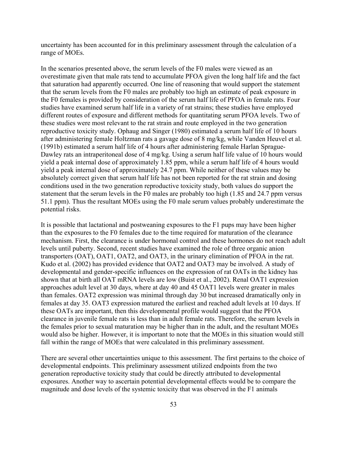uncertainty has been accounted for in this preliminary assessment through the calculation of a range of MOEs.

In the scenarios presented above, the serum levels of the F0 males were viewed as an overestimate given that male rats tend to accumulate PFOA given the long half life and the fact that saturation had apparently occurred. One line of reasoning that would support the statement that the serum levels from the F0 males are probably too high an estimate of peak exposure in the F0 females is provided by consideration of the serum half life of PFOA in female rats. Four studies have examined serum half life in a variety of rat strains; these studies have employed different routes of exposure and different methods for quantitating serum PFOA levels. Two of these studies were most relevant to the rat strain and route employed in the two generation reproductive toxicity study. Ophaug and Singer (1980) estimated a serum half life of 10 hours after administering female Holtzman rats a gavage dose of 8 mg/kg, while Vanden Heuvel et al. (1991b) estimated a serum half life of 4 hours after administering female Harlan Sprague-Dawley rats an intraperitoneal dose of 4 mg/kg. Using a serum half life value of 10 hours would yield a peak internal dose of approximately 1.85 ppm, while a serum half life of 4 hours would yield a peak internal dose of approximately 24.7 ppm. While neither of these values may be absolutely correct given that serum half life has not been reported for the rat strain and dosing conditions used in the two generation reproductive toxicity study, both values do support the statement that the serum levels in the F0 males are probably too high (1.85 and 24.7 ppm versus 51.1 ppm). Thus the resultant MOEs using the F0 male serum values probably underestimate the potential risks.

It is possible that lactational and postweaning exposures to the F1 pups may have been higher than the exposures to the F0 females due to the time required for maturation of the clearance mechanism. First, the clearance is under hormonal control and these hormones do not reach adult levels until puberty. Second, recent studies have examined the role of three organic anion transporters (OAT), OAT1, OAT2, and OAT3, in the urinary elimination of PFOA in the rat. Kudo et al. (2002) has provided evidence that OAT2 and OAT3 may be involved. A study of developmental and gender-specific influences on the expression of rat OATs in the kidney has shown that at birth all OAT mRNA levels are low (Buist et al., 2002). Renal OAT1 expression approaches adult level at 30 days, where at day 40 and 45 OAT1 levels were greater in males than females. OAT2 expression was minimal through day 30 but increased dramatically only in females at day 35. OAT3 expression matured the earliest and reached adult levels at 10 days. If these OATs are important, then this developmental profile would suggest that the PFOA clearance in juvenile female rats is less than in adult female rats. Therefore, the serum levels in the females prior to sexual maturation may be higher than in the adult, and the resultant MOEs would also be higher. However, it is important to note that the MOEs in this situation would still fall within the range of MOEs that were calculated in this preliminary assessment.

There are several other uncertainties unique to this assessment. The first pertains to the choice of developmental endpoints. This preliminary assessment utilized endpoints from the two generation reproductive toxicity study that could be directly attributed to developmental exposures. Another way to ascertain potential developmental effects would be to compare the magnitude and dose levels of the systemic toxicity that was observed in the F1 animals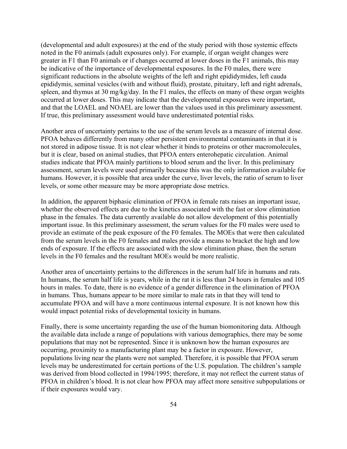(developmental and adult exposures) at the end of the study period with those systemic effects noted in the F0 animals (adult exposures only). For example, if organ weight changes were greater in F1 than F0 animals or if changes occurred at lower doses in the F1 animals, this may be indicative of the importance of developmental exposures. In the F0 males, there were significant reductions in the absolute weights of the left and right epididymides, left cauda epididymis, seminal vesicles (with and without fluid), prostate, pituitary, left and right adrenals, spleen, and thymus at 30 mg/kg/day. In the F1 males, the effects on many of these organ weights occurred at lower doses. This may indicate that the developmental exposures were important, and that the LOAEL and NOAEL are lower than the values used in this preliminary assessment. If true, this preliminary assessment would have underestimated potential risks.

Another area of uncertainty pertains to the use of the serum levels as a measure of internal dose. PFOA behaves differently from many other persistent environmental contaminants in that it is not stored in adipose tissue. It is not clear whether it binds to proteins or other macromolecules, but it is clear, based on animal studies, that PFOA enters enterohepatic circulation. Animal studies indicate that PFOA mainly partitions to blood serum and the liver. In this preliminary assessment, serum levels were used primarily because this was the only information available for humans. However, it is possible that area under the curve, liver levels, the ratio of serum to liver levels, or some other measure may be more appropriate dose metrics.

In addition, the apparent biphasic elimination of PFOA in female rats raises an important issue, whether the observed effects are due to the kinetics associated with the fast or slow elimination phase in the females. The data currently available do not allow development of this potentially important issue. In this preliminary assessment, the serum values for the F0 males were used to provide an estimate of the peak exposure of the F0 females. The MOEs that were then calculated from the serum levels in the F0 females and males provide a means to bracket the high and low ends of exposure. If the effects are associated with the slow elimination phase, then the serum levels in the F0 females and the resultant MOEs would be more realistic.

Another area of uncertainty pertains to the differences in the serum half life in humans and rats. In humans, the serum half life is years, while in the rat it is less than 24 hours in females and 105 hours in males. To date, there is no evidence of a gender difference in the elimination of PFOA in humans. Thus, humans appear to be more similar to male rats in that they will tend to accumulate PFOA and will have a more continuous internal exposure. It is not known how this would impact potential risks of developmental toxicity in humans.

Finally, there is some uncertainty regarding the use of the human biomonitoring data. Although the available data include a range of populations with various demographics, there may be some populations that may not be represented. Since it is unknown how the human exposures are occurring, proximity to a manufacturing plant may be a factor in exposure. However, populations living near the plants were not sampled. Therefore, it is possible that PFOA serum levels may be underestimated for certain portions of the U.S. population. The children's sample was derived from blood collected in 1994/1995; therefore, it may not reflect the current status of PFOA in children's blood. It is not clear how PFOA may affect more sensitive subpopulations or if their exposures would vary.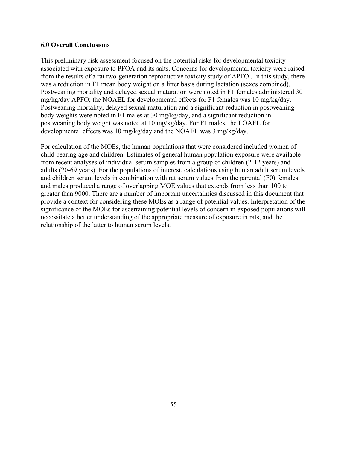# **6.0 Overall Conclusions**

This preliminary risk assessment focused on the potential risks for developmental toxicity associated with exposure to PFOA and its salts. Concerns for developmental toxicity were raised from the results of a rat two-generation reproductive toxicity study of APFO . In this study, there was a reduction in F1 mean body weight on a litter basis during lactation (sexes combined). Postweaning mortality and delayed sexual maturation were noted in F1 females administered 30 mg/kg/day APFO; the NOAEL for developmental effects for F1 females was 10 mg/kg/day. Postweaning mortality, delayed sexual maturation and a significant reduction in postweaning body weights were noted in F1 males at 30 mg/kg/day, and a significant reduction in postweaning body weight was noted at 10 mg/kg/day. For F1 males, the LOAEL for developmental effects was 10 mg/kg/day and the NOAEL was 3 mg/kg/day.

For calculation of the MOEs, the human populations that were considered included women of child bearing age and children. Estimates of general human population exposure were available from recent analyses of individual serum samples from a group of children (2-12 years) and adults (20-69 years). For the populations of interest, calculations using human adult serum levels and children serum levels in combination with rat serum values from the parental (F0) females and males produced a range of overlapping MOE values that extends from less than 100 to greater than 9000. There are a number of important uncertainties discussed in this document that provide a context for considering these MOEs as a range of potential values. Interpretation of the significance of the MOEs for ascertaining potential levels of concern in exposed populations will necessitate a better understanding of the appropriate measure of exposure in rats, and the relationship of the latter to human serum levels.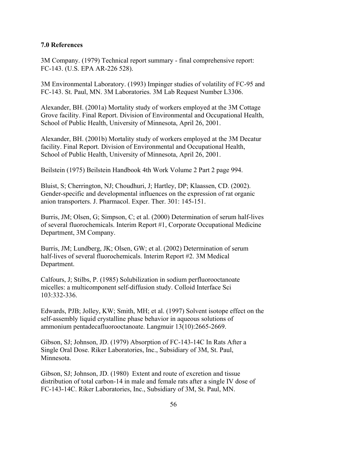# **7.0 References**

3M Company. (1979) Technical report summary - final comprehensive report: FC-143. (U.S. EPA AR-226 528).

3M Environmental Laboratory. (1993) Impinger studies of volatility of FC-95 and FC-143. St. Paul, MN. 3M Laboratories. 3M Lab Request Number L3306.

Alexander, BH. (2001a) Mortality study of workers employed at the 3M Cottage Grove facility. Final Report. Division of Environmental and Occupational Health, School of Public Health, University of Minnesota, April 26, 2001.

Alexander, BH. (2001b) Mortality study of workers employed at the 3M Decatur facility. Final Report. Division of Environmental and Occupational Health, School of Public Health, University of Minnesota, April 26, 2001.

Beilstein (1975) Beilstein Handbook 4th Work Volume 2 Part 2 page 994.

Bluist, S; Cherrington, NJ; Choudhuri, J; Hartley, DP; Klaassen, CD. (2002). Gender-specific and developmental influences on the expression of rat organic anion transporters. J. Pharmacol. Exper. Ther. 301: 145-151.

Burris, JM; Olsen, G; Simpson, C; et al. (2000) Determination of serum half-lives of several fluorochemicals. Interim Report #1, Corporate Occupational Medicine Department, 3M Company.

Burris, JM; Lundberg, JK; Olsen, GW; et al. (2002) Determination of serum half-lives of several fluorochemicals. Interim Report #2. 3M Medical Department.

Calfours, J; Stilbs, P. (1985) Solubilization in sodium perfluorooctanoate micelles: a multicomponent self-diffusion study. Colloid Interface Sci 103:332-336.

Edwards, PJB; Jolley, KW; Smith, MH; et al. (1997) Solvent isotope effect on the self-assembly liquid crystalline phase behavior in aqueous solutions of ammonium pentadecafluorooctanoate. Langmuir 13(10):2665-2669.

Gibson, SJ; Johnson, JD. (1979) Absorption of FC-143-14C In Rats After a Single Oral Dose. Riker Laboratories, Inc., Subsidiary of 3M, St. Paul, Minnesota.

Gibson, SJ; Johnson, JD. (1980) Extent and route of excretion and tissue distribution of total carbon-14 in male and female rats after a single IV dose of FC-143-14C. Riker Laboratories, Inc., Subsidiary of 3M, St. Paul, MN.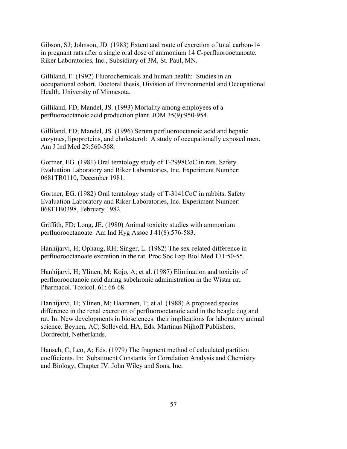Gibson, SJ; Johnson, JD. (1983) Extent and route of excretion of total carbon-14 in pregnant rats after a single oral dose of ammonium 14 C-perfluorooctanoate. Riker Laboratories, Inc., Subsidiary of 3M, St. Paul, MN.

Gilliland, F. (1992) Fluorochemicals and human health: Studies in an occupational cohort. Doctoral thesis, Division of Environmental and Occupational Health, University of Minnesota.

Gilliland, FD; Mandel, JS. (1993) Mortality among employees of a perfluorooctanoic acid production plant. JOM 35(9):950-954.

Gilliland, FD; Mandel, JS. (1996) Serum perfluorooctanoic acid and hepatic enzymes, lipoproteins, and cholesterol: A study of occupationally exposed men. Am J Ind Med 29:560-568.

Gortner, EG. (1981) Oral teratology study of T-2998CoC in rats. Safety Evaluation Laboratory and Riker Laboratories, Inc. Experiment Number: 0681TR0110, December 1981.

Gortner, EG. (1982) Oral teratology study of T-3141CoC in rabbits. Safety Evaluation Laboratory and Riker Laboratories, Inc. Experiment Number: 0681TB0398, February 1982.

Griffith, FD; Long, JE. (1980) Animal toxicity studies with ammonium perfluorooctanoate. Am Ind Hyg Assoc J 41(8):576-583.

Hanhijarvi, H; Ophaug, RH; Singer, L. (1982) The sex-related difference in perfluorooctanoate excretion in the rat. Proc Soc Exp Biol Med 171:50-55.

Hanhijarvi, H; Ylinen, M; Kojo, A; et al. (1987) Elimination and toxicity of perfluorooctanoic acid during subchronic administration in the Wistar rat. Pharmacol. Toxicol. 61: 66-68.

Hanhijarvi, H; Ylinen, M; Haaranen, T; et al. (1988) A proposed species difference in the renal excretion of perfluorooctanoic acid in the beagle dog and rat. In: New developments in biosciences: their implications for laboratory animal science. Beynen, AC; Solleveld, HA, Eds. Martinus Nijhoff Publishers. Dordrecht, Netherlands.

Hansch, C; Leo, A; Eds. (1979) The fragment method of calculated partition coefficients. In: Substituent Constants for Correlation Analysis and Chemistry and Biology, Chapter IV. John Wiley and Sons, Inc.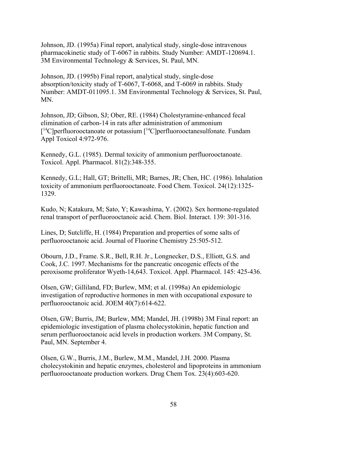Johnson, JD. (1995a) Final report, analytical study, single-dose intravenous pharmacokinetic study of T-6067 in rabbits. Study Number: AMDT-120694.1. 3M Environmental Technology & Services, St. Paul, MN.

Johnson, JD. (1995b) Final report, analytical study, single-dose absorption/toxicity study of T-6067, T-6068, and T-6069 in rabbits. Study Number: AMDT-011095.1. 3M Environmental Technology & Services, St. Paul, MN.

Johnson, JD; Gibson, SJ; Ober, RE. (1984) Cholestyramine-enhanced fecal elimination of carbon-14 in rats after administration of ammonium  $[14C]$ perfluorooctanoate or potassium  $[14C]$ perfluorooctanesulfonate. Fundam Appl Toxicol 4:972-976.

Kennedy, G.L. (1985). Dermal toxicity of ammonium perfluorooctanoate. Toxicol. Appl. Pharmacol. 81(2):348-355.

Kennedy, G.L; Hall, GT; Brittelli, MR; Barnes, JR; Chen, HC. (1986). Inhalation toxicity of ammonium perfluorooctanoate. Food Chem. Toxicol. 24(12):1325- 1329.

Kudo, N; Katakura, M; Sato, Y; Kawashima, Y. (2002). Sex hormone-regulated renal transport of perfluorooctanoic acid. Chem. Biol. Interact. 139: 301-316.

Lines, D; Sutcliffe, H. (1984) Preparation and properties of some salts of perfluorooctanoic acid. Journal of Fluorine Chemistry 25:505-512.

Obourn, J.D., Frame. S.R., Bell, R.H. Jr., Longnecker, D.S., Elliott, G.S. and Cook, J.C. 1997. Mechanisms for the pancreatic oncogenic effects of the peroxisome proliferator Wyeth-14,643. Toxicol. Appl. Pharmacol. 145: 425-436.

Olsen, GW; Gilliland, FD; Burlew, MM; et al. (1998a) An epidemiologic investigation of reproductive hormones in men with occupational exposure to perfluorooctanoic acid. JOEM 40(7):614-622.

Olsen, GW; Burris, JM; Burlew, MM; Mandel, JH. (1998b) 3M Final report: an epidemiologic investigation of plasma cholecystokinin, hepatic function and serum perfluorooctanoic acid levels in production workers. 3M Company, St. Paul, MN. September 4.

Olsen, G.W., Burris, J.M., Burlew, M.M., Mandel, J.H. 2000. Plasma cholecystokinin and hepatic enzymes, cholesterol and lipoproteins in ammonium perfluorooctanoate production workers. Drug Chem Tox. 23(4):603-620.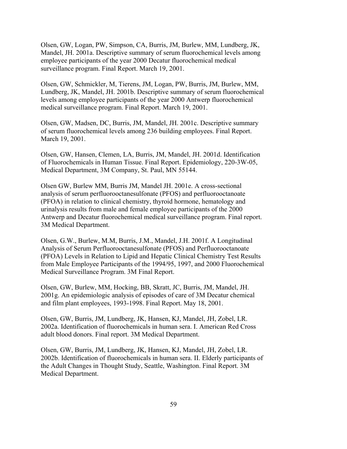Olsen, GW, Logan, PW, Simpson, CA, Burris, JM, Burlew, MM, Lundberg, JK, Mandel, JH. 2001a. Descriptive summary of serum fluorochemical levels among employee participants of the year 2000 Decatur fluorochemical medical surveillance program. Final Report. March 19, 2001.

Olsen, GW, Schmickler, M, Tierens, JM, Logan, PW, Burris, JM, Burlew, MM, Lundberg, JK, Mandel, JH. 2001b. Descriptive summary of serum fluorochemical levels among employee participants of the year 2000 Antwerp fluorochemical medical surveillance program. Final Report. March 19, 2001.

Olsen, GW, Madsen, DC, Burris, JM, Mandel, JH. 2001c. Descriptive summary of serum fluorochemical levels among 236 building employees. Final Report. March 19, 2001.

Olsen, GW, Hansen, Clemen, LA, Burris, JM, Mandel, JH. 2001d. Identification of Fluorochemicals in Human Tissue. Final Report. Epidemiology, 220-3W-05, Medical Department, 3M Company, St. Paul, MN 55144.

Olsen GW, Burlew MM, Burris JM, Mandel JH. 2001e. A cross-sectional analysis of serum perfluorooctanesulfonate (PFOS) and perfluorooctanoate (PFOA) in relation to clinical chemistry, thyroid hormone, hematology and urinalysis results from male and female employee participants of the 2000 Antwerp and Decatur fluorochemical medical surveillance program. Final report. 3M Medical Department.

Olsen, G.W., Burlew, M.M, Burris, J.M., Mandel, J.H. 2001f. A Longitudinal Analysis of Serum Perfluorooctanesulfonate (PFOS) and Perfluorooctanoate (PFOA) Levels in Relation to Lipid and Hepatic Clinical Chemistry Test Results from Male Employee Participants of the 1994/95, 1997, and 2000 Fluorochemical Medical Surveillance Program. 3M Final Report.

Olsen, GW, Burlew, MM, Hocking, BB, Skratt, JC, Burris, JM, Mandel, JH. 2001g. An epidemiologic analysis of episodes of care of 3M Decatur chemical and film plant employees, 1993-1998. Final Report. May 18, 2001.

Olsen, GW, Burris, JM, Lundberg, JK, Hansen, KJ, Mandel, JH, Zobel, LR. 2002a. Identification of fluorochemicals in human sera. I. American Red Cross adult blood donors. Final report. 3M Medical Department.

Olsen, GW, Burris, JM, Lundberg, JK, Hansen, KJ, Mandel, JH, Zobel, LR. 2002b. Identification of fluorochemicals in human sera. II. Elderly participants of the Adult Changes in Thought Study, Seattle, Washington. Final Report. 3M Medical Department.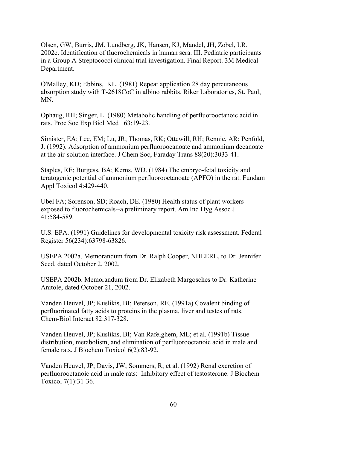Olsen, GW, Burris, JM, Lundberg, JK, Hansen, KJ, Mandel, JH, Zobel, LR. 2002c. Identification of fluorochemicals in human sera. III. Pediatric participants in a Group A Streptococci clinical trial investigation. Final Report. 3M Medical Department.

O'Malley, KD; Ebbins, KL. (1981) Repeat application 28 day percutaneous absorption study with T-2618CoC in albino rabbits. Riker Laboratories, St. Paul, MN.

Ophaug, RH; Singer, L. (1980) Metabolic handling of perfluorooctanoic acid in rats. Proc Soc Exp Biol Med 163:19-23.

Simister, EA; Lee, EM; Lu, JR; Thomas, RK; Ottewill, RH; Rennie, AR; Penfold, J. (1992). Adsorption of ammonium perfluoroocanoate and ammonium decanoate at the air-solution interface. J Chem Soc, Faraday Trans 88(20):3033-41.

Staples, RE; Burgess, BA; Kerns, WD. (1984) The embryo-fetal toxicity and teratogenic potential of ammonium perfluorooctanoate (APFO) in the rat. Fundam Appl Toxicol 4:429-440.

Ubel FA; Sorenson, SD; Roach, DE. (1980) Health status of plant workers exposed to fluorochemicals--a preliminary report. Am Ind Hyg Assoc J 41:584-589.

U.S. EPA. (1991) Guidelines for developmental toxicity risk assessment. Federal Register 56(234):63798-63826.

USEPA 2002a. Memorandum from Dr. Ralph Cooper, NHEERL, to Dr. Jennifer Seed, dated October 2, 2002.

USEPA 2002b. Memorandum from Dr. Elizabeth Margosches to Dr. Katherine Anitole, dated October 21, 2002.

Vanden Heuvel, JP; Kuslikis, BI; Peterson, RE. (1991a) Covalent binding of perfluorinated fatty acids to proteins in the plasma, liver and testes of rats. Chem-Biol Interact 82:317-328.

Vanden Heuvel, JP; Kuslikis, BI; Van Rafelghem, ML; et al. (1991b) Tissue distribution, metabolism, and elimination of perfluorooctanoic acid in male and female rats. J Biochem Toxicol 6(2):83-92.

Vanden Heuvel, JP; Davis, JW; Sommers, R; et al. (1992) Renal excretion of perfluorooctanoic acid in male rats: Inhibitory effect of testosterone. J Biochem Toxicol 7(1):31-36.